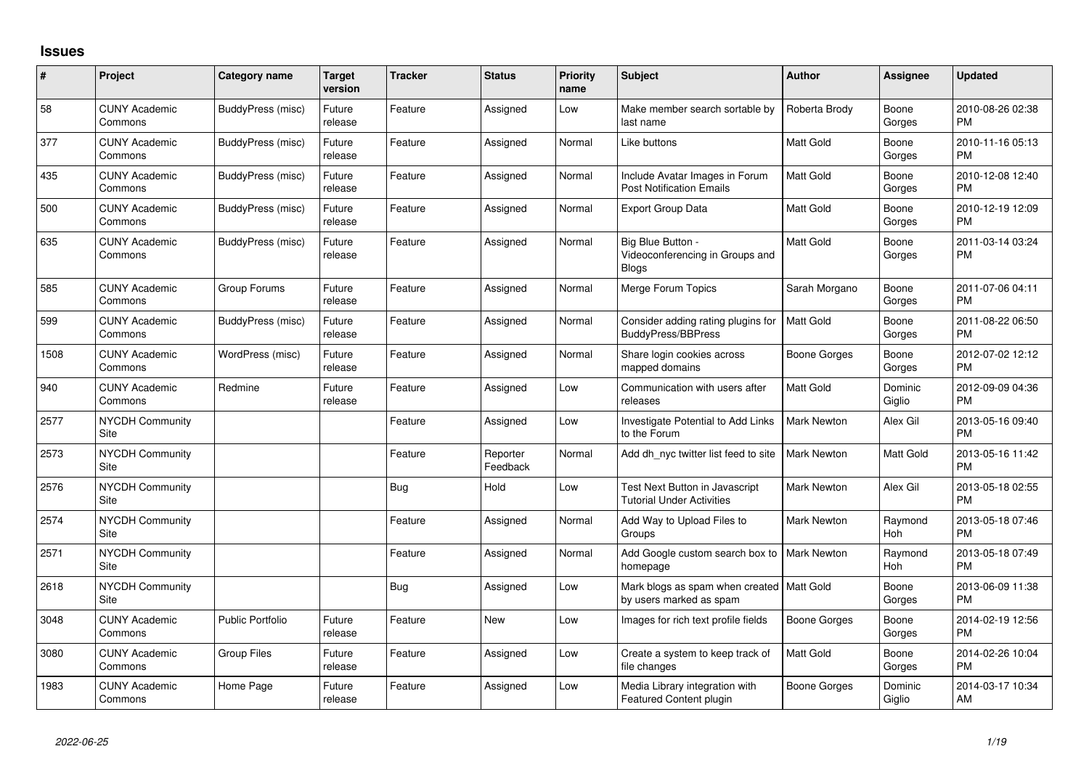## **Issues**

| #    | Project                         | <b>Category name</b>    | <b>Target</b><br>version | <b>Tracker</b> | <b>Status</b>        | <b>Priority</b><br>name | <b>Subject</b>                                                         | <b>Author</b>      | <b>Assignee</b>   | <b>Updated</b>                |
|------|---------------------------------|-------------------------|--------------------------|----------------|----------------------|-------------------------|------------------------------------------------------------------------|--------------------|-------------------|-------------------------------|
| 58   | <b>CUNY Academic</b><br>Commons | BuddyPress (misc)       | Future<br>release        | Feature        | Assigned             | Low                     | Make member search sortable by<br>last name                            | Roberta Brody      | Boone<br>Gorges   | 2010-08-26 02:38<br><b>PM</b> |
| 377  | <b>CUNY Academic</b><br>Commons | BuddyPress (misc)       | Future<br>release        | Feature        | Assigned             | Normal                  | Like buttons                                                           | Matt Gold          | Boone<br>Gorges   | 2010-11-16 05:13<br><b>PM</b> |
| 435  | <b>CUNY Academic</b><br>Commons | BuddyPress (misc)       | Future<br>release        | Feature        | Assigned             | Normal                  | Include Avatar Images in Forum<br><b>Post Notification Emails</b>      | <b>Matt Gold</b>   | Boone<br>Gorges   | 2010-12-08 12:40<br><b>PM</b> |
| 500  | <b>CUNY Academic</b><br>Commons | BuddyPress (misc)       | Future<br>release        | Feature        | Assigned             | Normal                  | <b>Export Group Data</b>                                               | <b>Matt Gold</b>   | Boone<br>Gorges   | 2010-12-19 12:09<br><b>PM</b> |
| 635  | <b>CUNY Academic</b><br>Commons | BuddyPress (misc)       | Future<br>release        | Feature        | Assigned             | Normal                  | Big Blue Button -<br>Videoconferencing in Groups and<br><b>Blogs</b>   | Matt Gold          | Boone<br>Gorges   | 2011-03-14 03:24<br><b>PM</b> |
| 585  | <b>CUNY Academic</b><br>Commons | Group Forums            | Future<br>release        | Feature        | Assigned             | Normal                  | Merge Forum Topics                                                     | Sarah Morgano      | Boone<br>Gorges   | 2011-07-06 04:11<br><b>PM</b> |
| 599  | <b>CUNY Academic</b><br>Commons | BuddyPress (misc)       | Future<br>release        | Feature        | Assigned             | Normal                  | Consider adding rating plugins for<br>BuddyPress/BBPress               | <b>Matt Gold</b>   | Boone<br>Gorges   | 2011-08-22 06:50<br><b>PM</b> |
| 1508 | <b>CUNY Academic</b><br>Commons | WordPress (misc)        | Future<br>release        | Feature        | Assigned             | Normal                  | Share login cookies across<br>mapped domains                           | Boone Gorges       | Boone<br>Gorges   | 2012-07-02 12:12<br><b>PM</b> |
| 940  | <b>CUNY Academic</b><br>Commons | Redmine                 | Future<br>release        | Feature        | Assigned             | Low                     | Communication with users after<br>releases                             | <b>Matt Gold</b>   | Dominic<br>Giglio | 2012-09-09 04:36<br><b>PM</b> |
| 2577 | <b>NYCDH Community</b><br>Site  |                         |                          | Feature        | Assigned             | Low                     | Investigate Potential to Add Links<br>to the Forum                     | <b>Mark Newton</b> | Alex Gil          | 2013-05-16 09:40<br><b>PM</b> |
| 2573 | NYCDH Community<br>Site         |                         |                          | Feature        | Reporter<br>Feedback | Normal                  | Add dh_nyc twitter list feed to site                                   | <b>Mark Newton</b> | Matt Gold         | 2013-05-16 11:42<br><b>PM</b> |
| 2576 | NYCDH Community<br>Site         |                         |                          | <b>Bug</b>     | Hold                 | Low                     | Test Next Button in Javascript<br><b>Tutorial Under Activities</b>     | <b>Mark Newton</b> | Alex Gil          | 2013-05-18 02:55<br><b>PM</b> |
| 2574 | <b>NYCDH Community</b><br>Site  |                         |                          | Feature        | Assigned             | Normal                  | Add Way to Upload Files to<br>Groups                                   | <b>Mark Newton</b> | Raymond<br>Hoh    | 2013-05-18 07:46<br><b>PM</b> |
| 2571 | NYCDH Community<br>Site         |                         |                          | Feature        | Assigned             | Normal                  | Add Google custom search box to   Mark Newton<br>homepage              |                    | Raymond<br>Hoh    | 2013-05-18 07:49<br><b>PM</b> |
| 2618 | <b>NYCDH Community</b><br>Site  |                         |                          | <b>Bug</b>     | Assigned             | Low                     | Mark blogs as spam when created   Matt Gold<br>by users marked as spam |                    | Boone<br>Gorges   | 2013-06-09 11:38<br><b>PM</b> |
| 3048 | <b>CUNY Academic</b><br>Commons | <b>Public Portfolio</b> | Future<br>release        | Feature        | <b>New</b>           | Low                     | Images for rich text profile fields                                    | Boone Gorges       | Boone<br>Gorges   | 2014-02-19 12:56<br><b>PM</b> |
| 3080 | <b>CUNY Academic</b><br>Commons | <b>Group Files</b>      | Future<br>release        | Feature        | Assigned             | Low                     | Create a system to keep track of<br>file changes                       | Matt Gold          | Boone<br>Gorges   | 2014-02-26 10:04<br><b>PM</b> |
| 1983 | <b>CUNY Academic</b><br>Commons | Home Page               | Future<br>release        | Feature        | Assigned             | Low                     | Media Library integration with<br>Featured Content plugin              | Boone Gorges       | Dominic<br>Giglio | 2014-03-17 10:34<br>AM        |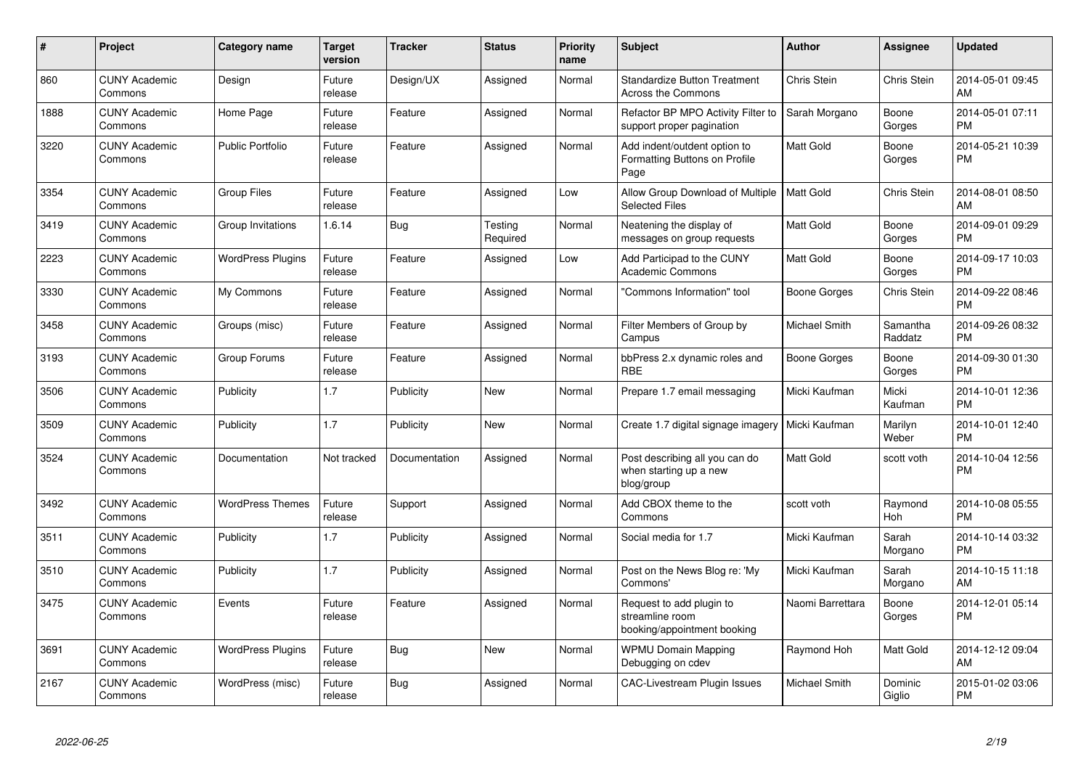| #    | Project                         | <b>Category name</b>     | <b>Target</b><br>version | <b>Tracker</b> | <b>Status</b>       | <b>Priority</b><br>name | <b>Subject</b>                                                             | <b>Author</b>    | Assignee            | <b>Updated</b>                |
|------|---------------------------------|--------------------------|--------------------------|----------------|---------------------|-------------------------|----------------------------------------------------------------------------|------------------|---------------------|-------------------------------|
| 860  | <b>CUNY Academic</b><br>Commons | Design                   | Future<br>release        | Design/UX      | Assigned            | Normal                  | <b>Standardize Button Treatment</b><br><b>Across the Commons</b>           | Chris Stein      | Chris Stein         | 2014-05-01 09:45<br>AM        |
| 1888 | <b>CUNY Academic</b><br>Commons | Home Page                | Future<br>release        | Feature        | Assigned            | Normal                  | Refactor BP MPO Activity Filter to<br>support proper pagination            | Sarah Morgano    | Boone<br>Gorges     | 2014-05-01 07:11<br><b>PM</b> |
| 3220 | <b>CUNY Academic</b><br>Commons | <b>Public Portfolio</b>  | Future<br>release        | Feature        | Assigned            | Normal                  | Add indent/outdent option to<br>Formatting Buttons on Profile<br>Page      | Matt Gold        | Boone<br>Gorges     | 2014-05-21 10:39<br><b>PM</b> |
| 3354 | <b>CUNY Academic</b><br>Commons | <b>Group Files</b>       | Future<br>release        | Feature        | Assigned            | Low                     | Allow Group Download of Multiple<br><b>Selected Files</b>                  | <b>Matt Gold</b> | Chris Stein         | 2014-08-01 08:50<br>AM        |
| 3419 | <b>CUNY Academic</b><br>Commons | Group Invitations        | 1.6.14                   | <b>Bug</b>     | Testing<br>Required | Normal                  | Neatening the display of<br>messages on group requests                     | Matt Gold        | Boone<br>Gorges     | 2014-09-01 09:29<br><b>PM</b> |
| 2223 | <b>CUNY Academic</b><br>Commons | <b>WordPress Plugins</b> | Future<br>release        | Feature        | Assigned            | Low                     | Add Participad to the CUNY<br><b>Academic Commons</b>                      | Matt Gold        | Boone<br>Gorges     | 2014-09-17 10:03<br><b>PM</b> |
| 3330 | <b>CUNY Academic</b><br>Commons | My Commons               | Future<br>release        | Feature        | Assigned            | Normal                  | 'Commons Information" tool                                                 | Boone Gorges     | Chris Stein         | 2014-09-22 08:46<br><b>PM</b> |
| 3458 | <b>CUNY Academic</b><br>Commons | Groups (misc)            | Future<br>release        | Feature        | Assigned            | Normal                  | Filter Members of Group by<br>Campus                                       | Michael Smith    | Samantha<br>Raddatz | 2014-09-26 08:32<br><b>PM</b> |
| 3193 | <b>CUNY Academic</b><br>Commons | Group Forums             | Future<br>release        | Feature        | Assigned            | Normal                  | bbPress 2.x dynamic roles and<br><b>RBE</b>                                | Boone Gorges     | Boone<br>Gorges     | 2014-09-30 01:30<br><b>PM</b> |
| 3506 | <b>CUNY Academic</b><br>Commons | Publicity                | 1.7                      | Publicity      | New                 | Normal                  | Prepare 1.7 email messaging                                                | Micki Kaufman    | Micki<br>Kaufman    | 2014-10-01 12:36<br><b>PM</b> |
| 3509 | <b>CUNY Academic</b><br>Commons | Publicity                | 1.7                      | Publicity      | <b>New</b>          | Normal                  | Create 1.7 digital signage imagery                                         | Micki Kaufman    | Marilyn<br>Weber    | 2014-10-01 12:40<br><b>PM</b> |
| 3524 | <b>CUNY Academic</b><br>Commons | Documentation            | Not tracked              | Documentation  | Assigned            | Normal                  | Post describing all you can do<br>when starting up a new<br>blog/group     | Matt Gold        | scott voth          | 2014-10-04 12:56<br><b>PM</b> |
| 3492 | <b>CUNY Academic</b><br>Commons | <b>WordPress Themes</b>  | Future<br>release        | Support        | Assigned            | Normal                  | Add CBOX theme to the<br>Commons                                           | scott voth       | Raymond<br>Hoh      | 2014-10-08 05:55<br><b>PM</b> |
| 3511 | <b>CUNY Academic</b><br>Commons | Publicity                | 1.7                      | Publicity      | Assigned            | Normal                  | Social media for 1.7                                                       | Micki Kaufman    | Sarah<br>Morgano    | 2014-10-14 03:32<br><b>PM</b> |
| 3510 | <b>CUNY Academic</b><br>Commons | Publicity                | 1.7                      | Publicity      | Assigned            | Normal                  | Post on the News Blog re: 'My<br>Commons'                                  | Micki Kaufman    | Sarah<br>Morgano    | 2014-10-15 11:18<br>AM        |
| 3475 | <b>CUNY Academic</b><br>Commons | Events                   | Future<br>release        | Feature        | Assigned            | Normal                  | Request to add plugin to<br>streamline room<br>booking/appointment booking | Naomi Barrettara | Boone<br>Gorges     | 2014-12-01 05:14<br><b>PM</b> |
| 3691 | <b>CUNY Academic</b><br>Commons | <b>WordPress Plugins</b> | Future<br>release        | <b>Bug</b>     | <b>New</b>          | Normal                  | <b>WPMU Domain Mapping</b><br>Debugging on cdev                            | Raymond Hoh      | Matt Gold           | 2014-12-12 09:04<br>AM        |
| 2167 | <b>CUNY Academic</b><br>Commons | WordPress (misc)         | Future<br>release        | Bug            | Assigned            | Normal                  | <b>CAC-Livestream Plugin Issues</b>                                        | Michael Smith    | Dominic<br>Giglio   | 2015-01-02 03:06<br><b>PM</b> |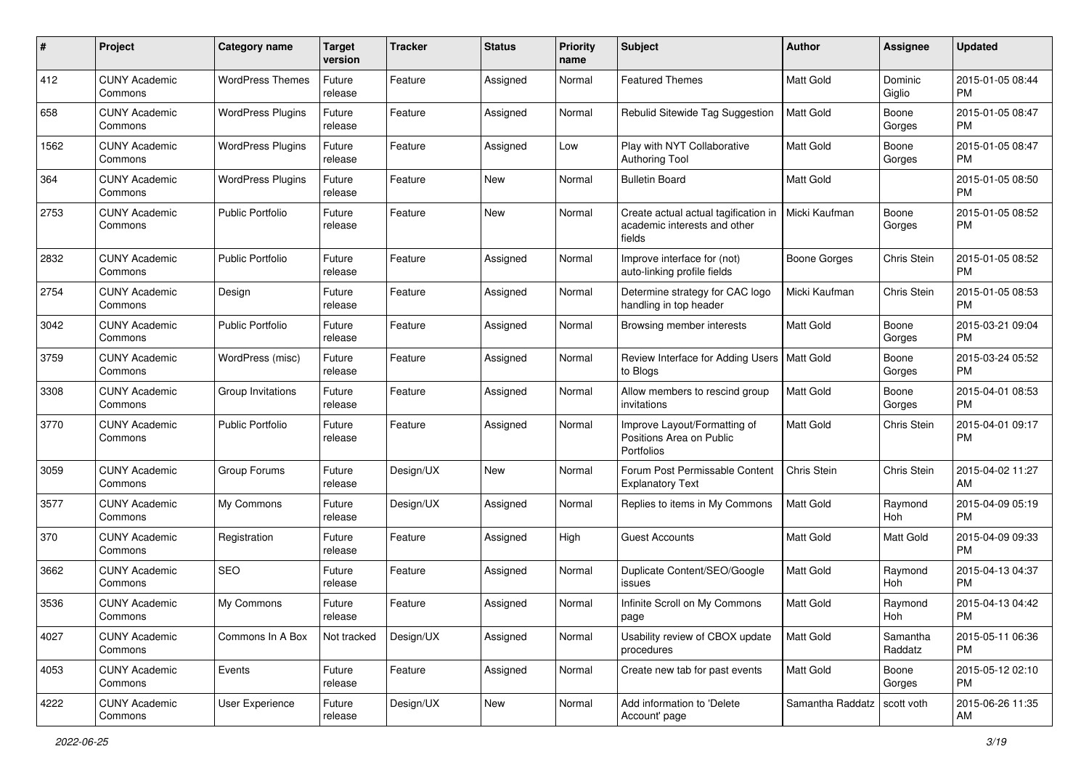| #    | Project                         | <b>Category name</b>     | <b>Target</b><br>version | <b>Tracker</b> | <b>Status</b> | <b>Priority</b><br>name | <b>Subject</b>                                                                 | Author              | <b>Assignee</b>     | <b>Updated</b>                |
|------|---------------------------------|--------------------------|--------------------------|----------------|---------------|-------------------------|--------------------------------------------------------------------------------|---------------------|---------------------|-------------------------------|
| 412  | <b>CUNY Academic</b><br>Commons | <b>WordPress Themes</b>  | Future<br>release        | Feature        | Assigned      | Normal                  | <b>Featured Themes</b>                                                         | Matt Gold           | Dominic<br>Giglio   | 2015-01-05 08:44<br><b>PM</b> |
| 658  | <b>CUNY Academic</b><br>Commons | <b>WordPress Plugins</b> | Future<br>release        | Feature        | Assigned      | Normal                  | Rebulid Sitewide Tag Suggestion                                                | Matt Gold           | Boone<br>Gorges     | 2015-01-05 08:47<br><b>PM</b> |
| 1562 | <b>CUNY Academic</b><br>Commons | <b>WordPress Plugins</b> | Future<br>release        | Feature        | Assigned      | Low                     | Play with NYT Collaborative<br><b>Authoring Tool</b>                           | Matt Gold           | Boone<br>Gorges     | 2015-01-05 08:47<br><b>PM</b> |
| 364  | <b>CUNY Academic</b><br>Commons | <b>WordPress Plugins</b> | Future<br>release        | Feature        | <b>New</b>    | Normal                  | <b>Bulletin Board</b>                                                          | <b>Matt Gold</b>    |                     | 2015-01-05 08:50<br><b>PM</b> |
| 2753 | <b>CUNY Academic</b><br>Commons | <b>Public Portfolio</b>  | Future<br>release        | Feature        | <b>New</b>    | Normal                  | Create actual actual tagification in<br>academic interests and other<br>fields | Micki Kaufman       | Boone<br>Gorges     | 2015-01-05 08:52<br><b>PM</b> |
| 2832 | <b>CUNY Academic</b><br>Commons | <b>Public Portfolio</b>  | Future<br>release        | Feature        | Assigned      | Normal                  | Improve interface for (not)<br>auto-linking profile fields                     | <b>Boone Gorges</b> | Chris Stein         | 2015-01-05 08:52<br><b>PM</b> |
| 2754 | <b>CUNY Academic</b><br>Commons | Design                   | Future<br>release        | Feature        | Assigned      | Normal                  | Determine strategy for CAC logo<br>handling in top header                      | Micki Kaufman       | Chris Stein         | 2015-01-05 08:53<br><b>PM</b> |
| 3042 | <b>CUNY Academic</b><br>Commons | <b>Public Portfolio</b>  | Future<br>release        | Feature        | Assigned      | Normal                  | Browsing member interests                                                      | Matt Gold           | Boone<br>Gorges     | 2015-03-21 09:04<br><b>PM</b> |
| 3759 | <b>CUNY Academic</b><br>Commons | WordPress (misc)         | Future<br>release        | Feature        | Assigned      | Normal                  | Review Interface for Adding Users   Matt Gold<br>to Blogs                      |                     | Boone<br>Gorges     | 2015-03-24 05:52<br><b>PM</b> |
| 3308 | <b>CUNY Academic</b><br>Commons | Group Invitations        | Future<br>release        | Feature        | Assigned      | Normal                  | Allow members to rescind group<br>invitations                                  | Matt Gold           | Boone<br>Gorges     | 2015-04-01 08:53<br><b>PM</b> |
| 3770 | <b>CUNY Academic</b><br>Commons | <b>Public Portfolio</b>  | Future<br>release        | Feature        | Assigned      | Normal                  | Improve Layout/Formatting of<br>Positions Area on Public<br>Portfolios         | Matt Gold           | Chris Stein         | 2015-04-01 09:17<br><b>PM</b> |
| 3059 | <b>CUNY Academic</b><br>Commons | Group Forums             | Future<br>release        | Design/UX      | <b>New</b>    | Normal                  | Forum Post Permissable Content<br><b>Explanatory Text</b>                      | Chris Stein         | Chris Stein         | 2015-04-02 11:27<br>AM        |
| 3577 | <b>CUNY Academic</b><br>Commons | My Commons               | Future<br>release        | Design/UX      | Assigned      | Normal                  | Replies to items in My Commons                                                 | <b>Matt Gold</b>    | Raymond<br>Hoh      | 2015-04-09 05:19<br><b>PM</b> |
| 370  | <b>CUNY Academic</b><br>Commons | Registration             | Future<br>release        | Feature        | Assigned      | High                    | Guest Accounts                                                                 | Matt Gold           | Matt Gold           | 2015-04-09 09:33<br><b>PM</b> |
| 3662 | <b>CUNY Academic</b><br>Commons | <b>SEO</b>               | Future<br>release        | Feature        | Assigned      | Normal                  | Duplicate Content/SEO/Google<br>issues                                         | Matt Gold           | Raymond<br>Hoh      | 2015-04-13 04:37<br><b>PM</b> |
| 3536 | <b>CUNY Academic</b><br>Commons | My Commons               | Future<br>release        | Feature        | Assigned      | Normal                  | Infinite Scroll on My Commons<br>page                                          | Matt Gold           | Raymond<br>Hoh      | 2015-04-13 04:42<br>PM        |
| 4027 | <b>CUNY Academic</b><br>Commons | Commons In A Box         | Not tracked              | Design/UX      | Assigned      | Normal                  | Usability review of CBOX update<br>procedures                                  | Matt Gold           | Samantha<br>Raddatz | 2015-05-11 06:36<br><b>PM</b> |
| 4053 | <b>CUNY Academic</b><br>Commons | Events                   | Future<br>release        | Feature        | Assigned      | Normal                  | Create new tab for past events                                                 | Matt Gold           | Boone<br>Gorges     | 2015-05-12 02:10<br><b>PM</b> |
| 4222 | <b>CUNY Academic</b><br>Commons | User Experience          | Future<br>release        | Design/UX      | New           | Normal                  | Add information to 'Delete<br>Account' page                                    | Samantha Raddatz    | scott voth          | 2015-06-26 11:35<br>AM        |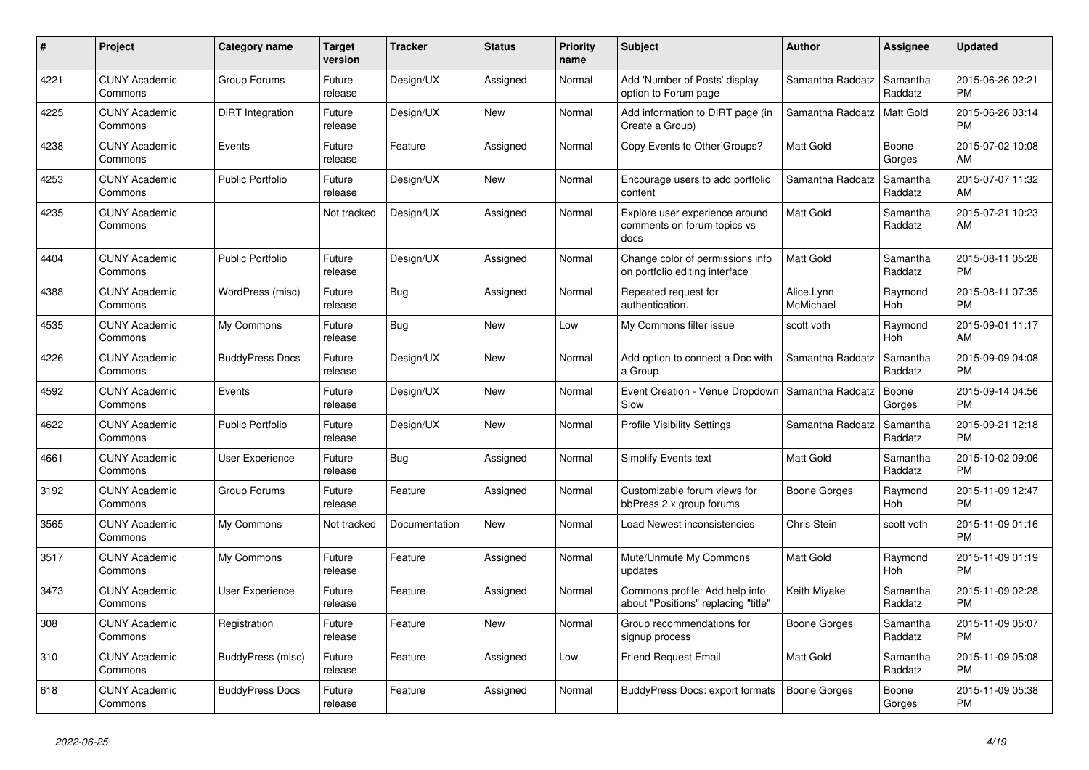| #    | Project                         | <b>Category name</b>    | <b>Target</b><br>version | <b>Tracker</b> | <b>Status</b> | <b>Priority</b><br>name | <b>Subject</b>                                                        | <b>Author</b>           | Assignee            | <b>Updated</b>                |
|------|---------------------------------|-------------------------|--------------------------|----------------|---------------|-------------------------|-----------------------------------------------------------------------|-------------------------|---------------------|-------------------------------|
| 4221 | <b>CUNY Academic</b><br>Commons | Group Forums            | Future<br>release        | Design/UX      | Assigned      | Normal                  | Add 'Number of Posts' display<br>option to Forum page                 | Samantha Raddatz        | Samantha<br>Raddatz | 2015-06-26 02:21<br><b>PM</b> |
| 4225 | <b>CUNY Academic</b><br>Commons | <b>DiRT</b> Integration | Future<br>release        | Design/UX      | <b>New</b>    | Normal                  | Add information to DIRT page (in<br>Create a Group)                   | Samantha Raddatz        | Matt Gold           | 2015-06-26 03:14<br><b>PM</b> |
| 4238 | <b>CUNY Academic</b><br>Commons | Events                  | Future<br>release        | Feature        | Assigned      | Normal                  | Copy Events to Other Groups?                                          | Matt Gold               | Boone<br>Gorges     | 2015-07-02 10:08<br>AM        |
| 4253 | <b>CUNY Academic</b><br>Commons | <b>Public Portfolio</b> | Future<br>release        | Design/UX      | <b>New</b>    | Normal                  | Encourage users to add portfolio<br>content                           | Samantha Raddatz        | Samantha<br>Raddatz | 2015-07-07 11:32<br>AM        |
| 4235 | <b>CUNY Academic</b><br>Commons |                         | Not tracked              | Design/UX      | Assigned      | Normal                  | Explore user experience around<br>comments on forum topics vs<br>docs | Matt Gold               | Samantha<br>Raddatz | 2015-07-21 10:23<br>AM        |
| 4404 | <b>CUNY Academic</b><br>Commons | <b>Public Portfolio</b> | Future<br>release        | Design/UX      | Assigned      | Normal                  | Change color of permissions info<br>on portfolio editing interface    | <b>Matt Gold</b>        | Samantha<br>Raddatz | 2015-08-11 05:28<br><b>PM</b> |
| 4388 | <b>CUNY Academic</b><br>Commons | WordPress (misc)        | Future<br>release        | <b>Bug</b>     | Assigned      | Normal                  | Repeated request for<br>authentication.                               | Alice.Lynn<br>McMichael | Raymond<br>Hoh      | 2015-08-11 07:35<br><b>PM</b> |
| 4535 | <b>CUNY Academic</b><br>Commons | My Commons              | Future<br>release        | Bug            | <b>New</b>    | Low                     | My Commons filter issue                                               | scott voth              | Raymond<br>Hoh      | 2015-09-01 11:17<br>AM        |
| 4226 | <b>CUNY Academic</b><br>Commons | <b>BuddyPress Docs</b>  | Future<br>release        | Design/UX      | <b>New</b>    | Normal                  | Add option to connect a Doc with<br>a Group                           | Samantha Raddatz        | Samantha<br>Raddatz | 2015-09-09 04:08<br><b>PM</b> |
| 4592 | <b>CUNY Academic</b><br>Commons | Events                  | Future<br>release        | Design/UX      | <b>New</b>    | Normal                  | Event Creation - Venue Dropdown<br>Slow                               | Samantha Raddatz        | Boone<br>Gorges     | 2015-09-14 04:56<br><b>PM</b> |
| 4622 | <b>CUNY Academic</b><br>Commons | <b>Public Portfolio</b> | Future<br>release        | Design/UX      | <b>New</b>    | Normal                  | <b>Profile Visibility Settings</b>                                    | Samantha Raddatz        | Samantha<br>Raddatz | 2015-09-21 12:18<br><b>PM</b> |
| 4661 | <b>CUNY Academic</b><br>Commons | <b>User Experience</b>  | Future<br>release        | Bug            | Assigned      | Normal                  | <b>Simplify Events text</b>                                           | <b>Matt Gold</b>        | Samantha<br>Raddatz | 2015-10-02 09:06<br><b>PM</b> |
| 3192 | <b>CUNY Academic</b><br>Commons | Group Forums            | Future<br>release        | Feature        | Assigned      | Normal                  | Customizable forum views for<br>bbPress 2.x group forums              | Boone Gorges            | Raymond<br>Hoh      | 2015-11-09 12:47<br><b>PM</b> |
| 3565 | <b>CUNY Academic</b><br>Commons | My Commons              | Not tracked              | Documentation  | <b>New</b>    | Normal                  | Load Newest inconsistencies                                           | <b>Chris Stein</b>      | scott voth          | 2015-11-09 01:16<br><b>PM</b> |
| 3517 | <b>CUNY Academic</b><br>Commons | My Commons              | Future<br>release        | Feature        | Assigned      | Normal                  | Mute/Unmute My Commons<br>updates                                     | <b>Matt Gold</b>        | Raymond<br>Hoh      | 2015-11-09 01:19<br><b>PM</b> |
| 3473 | <b>CUNY Academic</b><br>Commons | <b>User Experience</b>  | Future<br>release        | Feature        | Assigned      | Normal                  | Commons profile: Add help info<br>about "Positions" replacing "title" | Keith Miyake            | Samantha<br>Raddatz | 2015-11-09 02:28<br><b>PM</b> |
| 308  | <b>CUNY Academic</b><br>Commons | Registration            | Future<br>release        | Feature        | <b>New</b>    | Normal                  | Group recommendations for<br>signup process                           | Boone Gorges            | Samantha<br>Raddatz | 2015-11-09 05:07<br><b>PM</b> |
| 310  | <b>CUNY Academic</b><br>Commons | BuddyPress (misc)       | Future<br>release        | Feature        | Assigned      | Low                     | <b>Friend Request Email</b>                                           | <b>Matt Gold</b>        | Samantha<br>Raddatz | 2015-11-09 05:08<br><b>PM</b> |
| 618  | <b>CUNY Academic</b><br>Commons | <b>BuddyPress Docs</b>  | Future<br>release        | Feature        | Assigned      | Normal                  | BuddyPress Docs: export formats                                       | Boone Gorges            | Boone<br>Gorges     | 2015-11-09 05:38<br><b>PM</b> |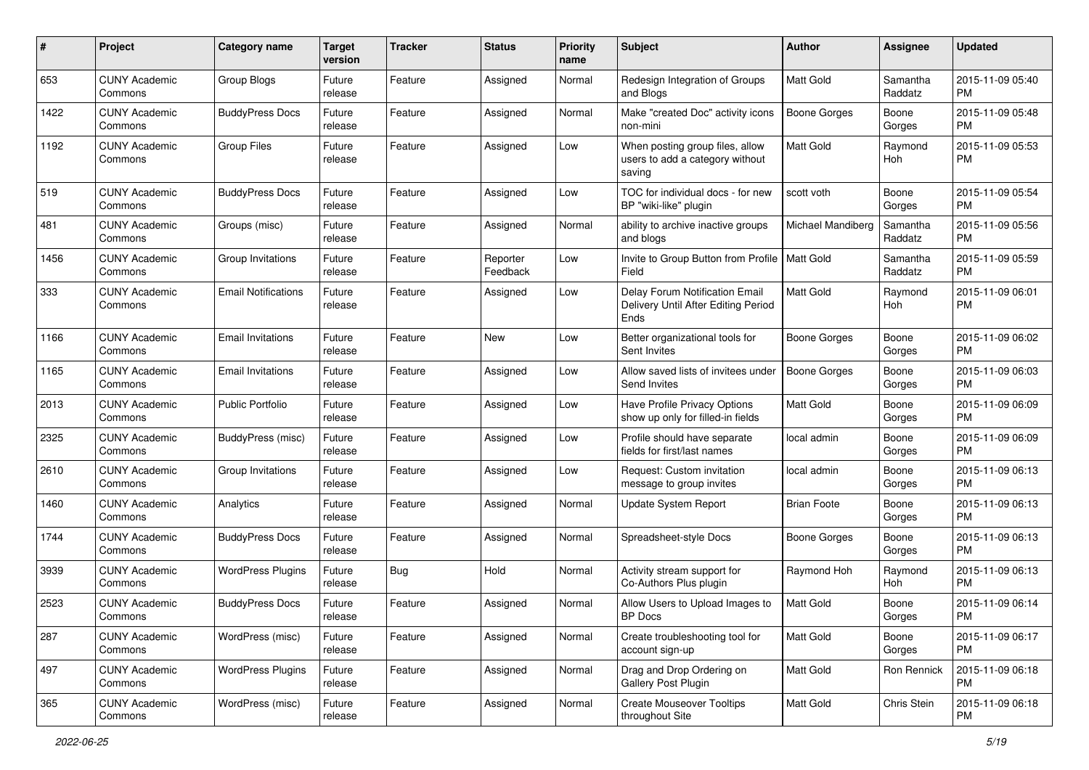| #    | Project                         | <b>Category name</b>       | <b>Target</b><br>version | <b>Tracker</b> | <b>Status</b>        | <b>Priority</b><br>name | Subject                                                                       | Author              | <b>Assignee</b>     | <b>Updated</b>                |
|------|---------------------------------|----------------------------|--------------------------|----------------|----------------------|-------------------------|-------------------------------------------------------------------------------|---------------------|---------------------|-------------------------------|
| 653  | <b>CUNY Academic</b><br>Commons | Group Blogs                | Future<br>release        | Feature        | Assigned             | Normal                  | Redesign Integration of Groups<br>and Blogs                                   | <b>Matt Gold</b>    | Samantha<br>Raddatz | 2015-11-09 05:40<br><b>PM</b> |
| 1422 | <b>CUNY Academic</b><br>Commons | <b>BuddyPress Docs</b>     | Future<br>release        | Feature        | Assigned             | Normal                  | Make "created Doc" activity icons<br>non-mini                                 | <b>Boone Gorges</b> | Boone<br>Gorges     | 2015-11-09 05:48<br><b>PM</b> |
| 1192 | <b>CUNY Academic</b><br>Commons | <b>Group Files</b>         | Future<br>release        | Feature        | Assigned             | Low                     | When posting group files, allow<br>users to add a category without<br>saving  | <b>Matt Gold</b>    | Raymond<br>Hoh      | 2015-11-09 05:53<br><b>PM</b> |
| 519  | <b>CUNY Academic</b><br>Commons | <b>BuddyPress Docs</b>     | Future<br>release        | Feature        | Assigned             | Low                     | TOC for individual docs - for new<br>BP "wiki-like" plugin                    | scott voth          | Boone<br>Gorges     | 2015-11-09 05:54<br><b>PM</b> |
| 481  | <b>CUNY Academic</b><br>Commons | Groups (misc)              | Future<br>release        | Feature        | Assigned             | Normal                  | ability to archive inactive groups<br>and blogs                               | Michael Mandiberg   | Samantha<br>Raddatz | 2015-11-09 05:56<br><b>PM</b> |
| 1456 | <b>CUNY Academic</b><br>Commons | Group Invitations          | Future<br>release        | Feature        | Reporter<br>Feedback | Low                     | Invite to Group Button from Profile   Matt Gold<br>Field                      |                     | Samantha<br>Raddatz | 2015-11-09 05:59<br><b>PM</b> |
| 333  | <b>CUNY Academic</b><br>Commons | <b>Email Notifications</b> | Future<br>release        | Feature        | Assigned             | Low                     | Delay Forum Notification Email<br>Delivery Until After Editing Period<br>Ends | <b>Matt Gold</b>    | Raymond<br>Hoh      | 2015-11-09 06:01<br><b>PM</b> |
| 1166 | <b>CUNY Academic</b><br>Commons | <b>Email Invitations</b>   | Future<br>release        | Feature        | <b>New</b>           | Low                     | Better organizational tools for<br>Sent Invites                               | <b>Boone Gorges</b> | Boone<br>Gorges     | 2015-11-09 06:02<br><b>PM</b> |
| 1165 | <b>CUNY Academic</b><br>Commons | <b>Email Invitations</b>   | Future<br>release        | Feature        | Assigned             | Low                     | Allow saved lists of invitees under<br>Send Invites                           | <b>Boone Gorges</b> | Boone<br>Gorges     | 2015-11-09 06:03<br><b>PM</b> |
| 2013 | <b>CUNY Academic</b><br>Commons | <b>Public Portfolio</b>    | Future<br>release        | Feature        | Assigned             | Low                     | Have Profile Privacy Options<br>show up only for filled-in fields             | <b>Matt Gold</b>    | Boone<br>Gorges     | 2015-11-09 06:09<br><b>PM</b> |
| 2325 | <b>CUNY Academic</b><br>Commons | BuddyPress (misc)          | Future<br>release        | Feature        | Assigned             | Low                     | Profile should have separate<br>fields for first/last names                   | local admin         | Boone<br>Gorges     | 2015-11-09 06:09<br><b>PM</b> |
| 2610 | <b>CUNY Academic</b><br>Commons | Group Invitations          | Future<br>release        | Feature        | Assigned             | Low                     | Request: Custom invitation<br>message to group invites                        | local admin         | Boone<br>Gorges     | 2015-11-09 06:13<br><b>PM</b> |
| 1460 | <b>CUNY Academic</b><br>Commons | Analytics                  | Future<br>release        | Feature        | Assigned             | Normal                  | Update System Report                                                          | <b>Brian Foote</b>  | Boone<br>Gorges     | 2015-11-09 06:13<br><b>PM</b> |
| 1744 | <b>CUNY Academic</b><br>Commons | <b>BuddyPress Docs</b>     | Future<br>release        | Feature        | Assigned             | Normal                  | Spreadsheet-style Docs                                                        | <b>Boone Gorges</b> | Boone<br>Gorges     | 2015-11-09 06:13<br><b>PM</b> |
| 3939 | <b>CUNY Academic</b><br>Commons | <b>WordPress Plugins</b>   | Future<br>release        | Bug            | Hold                 | Normal                  | Activity stream support for<br>Co-Authors Plus plugin                         | Raymond Hoh         | Raymond<br>Hoh      | 2015-11-09 06:13<br><b>PM</b> |
| 2523 | <b>CUNY Academic</b><br>Commons | <b>BuddyPress Docs</b>     | Future<br>release        | Feature        | Assigned             | Normal                  | Allow Users to Upload Images to<br>BP Docs                                    | Matt Gold           | Boone<br>Gorges     | 2015-11-09 06:14<br>PM        |
| 287  | <b>CUNY Academic</b><br>Commons | WordPress (misc)           | Future<br>release        | Feature        | Assigned             | Normal                  | Create troubleshooting tool for<br>account sign-up                            | Matt Gold           | Boone<br>Gorges     | 2015-11-09 06:17<br><b>PM</b> |
| 497  | <b>CUNY Academic</b><br>Commons | <b>WordPress Plugins</b>   | Future<br>release        | Feature        | Assigned             | Normal                  | Drag and Drop Ordering on<br>Gallery Post Plugin                              | Matt Gold           | Ron Rennick         | 2015-11-09 06:18<br>PM        |
| 365  | <b>CUNY Academic</b><br>Commons | WordPress (misc)           | Future<br>release        | Feature        | Assigned             | Normal                  | <b>Create Mouseover Tooltips</b><br>throughout Site                           | Matt Gold           | Chris Stein         | 2015-11-09 06:18<br>PM        |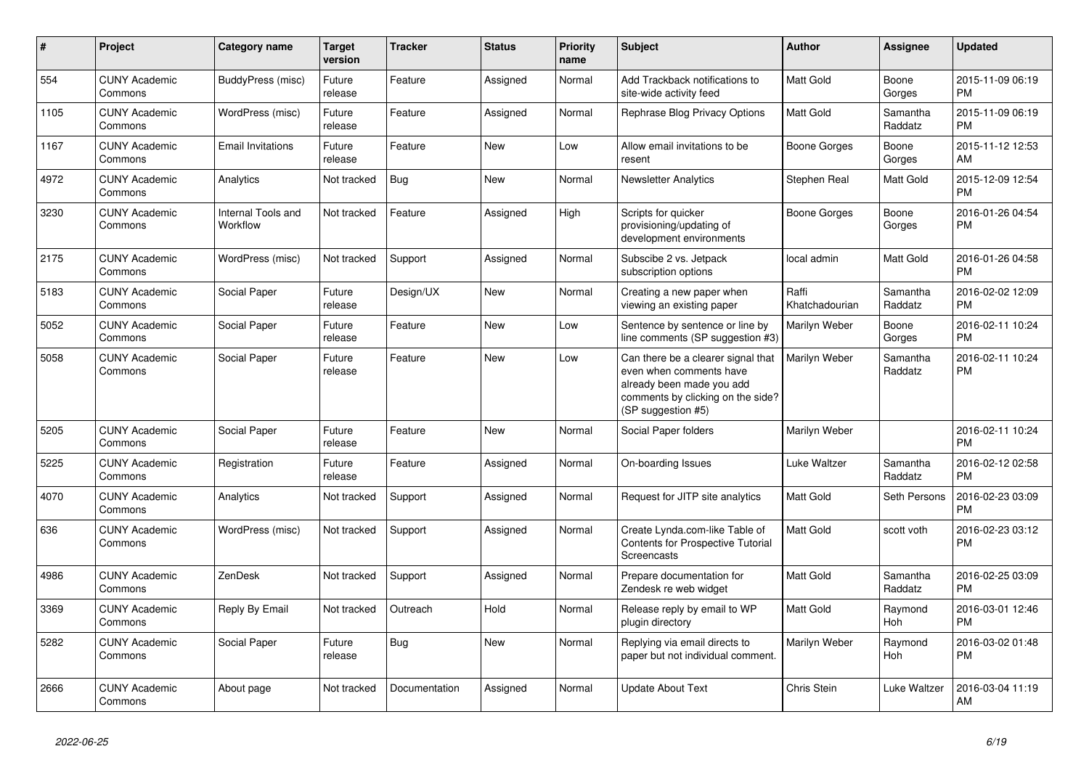| $\#$ | <b>Project</b>                  | Category name                  | <b>Target</b><br>version | <b>Tracker</b> | <b>Status</b> | <b>Priority</b><br>name | <b>Subject</b>                                                                                                                                        | Author                  | Assignee              | <b>Updated</b>                |
|------|---------------------------------|--------------------------------|--------------------------|----------------|---------------|-------------------------|-------------------------------------------------------------------------------------------------------------------------------------------------------|-------------------------|-----------------------|-------------------------------|
| 554  | <b>CUNY Academic</b><br>Commons | BuddyPress (misc)              | Future<br>release        | Feature        | Assigned      | Normal                  | Add Trackback notifications to<br>site-wide activity feed                                                                                             | Matt Gold               | Boone<br>Gorges       | 2015-11-09 06:19<br>PM        |
| 1105 | <b>CUNY Academic</b><br>Commons | WordPress (misc)               | Future<br>release        | Feature        | Assigned      | Normal                  | Rephrase Blog Privacy Options                                                                                                                         | <b>Matt Gold</b>        | Samantha<br>Raddatz   | 2015-11-09 06:19<br><b>PM</b> |
| 1167 | <b>CUNY Academic</b><br>Commons | <b>Email Invitations</b>       | Future<br>release        | Feature        | <b>New</b>    | Low                     | Allow email invitations to be<br>resent                                                                                                               | Boone Gorges            | Boone<br>Gorges       | 2015-11-12 12:53<br>AM        |
| 4972 | <b>CUNY Academic</b><br>Commons | Analytics                      | Not tracked              | <b>Bug</b>     | <b>New</b>    | Normal                  | <b>Newsletter Analytics</b>                                                                                                                           | Stephen Real            | Matt Gold             | 2015-12-09 12:54<br><b>PM</b> |
| 3230 | <b>CUNY Academic</b><br>Commons | Internal Tools and<br>Workflow | Not tracked              | Feature        | Assigned      | High                    | Scripts for quicker<br>provisioning/updating of<br>development environments                                                                           | Boone Gorges            | Boone<br>Gorges       | 2016-01-26 04:54<br><b>PM</b> |
| 2175 | <b>CUNY Academic</b><br>Commons | WordPress (misc)               | Not tracked              | Support        | Assigned      | Normal                  | Subscibe 2 vs. Jetpack<br>subscription options                                                                                                        | local admin             | <b>Matt Gold</b>      | 2016-01-26 04:58<br><b>PM</b> |
| 5183 | <b>CUNY Academic</b><br>Commons | Social Paper                   | Future<br>release        | Design/UX      | <b>New</b>    | Normal                  | Creating a new paper when<br>viewing an existing paper                                                                                                | Raffi<br>Khatchadourian | Samantha<br>Raddatz   | 2016-02-02 12:09<br><b>PM</b> |
| 5052 | <b>CUNY Academic</b><br>Commons | Social Paper                   | Future<br>release        | Feature        | <b>New</b>    | Low                     | Sentence by sentence or line by<br>line comments (SP suggestion #3)                                                                                   | Marilyn Weber           | Boone<br>Gorges       | 2016-02-11 10:24<br><b>PM</b> |
| 5058 | <b>CUNY Academic</b><br>Commons | Social Paper                   | Future<br>release        | Feature        | <b>New</b>    | Low                     | Can there be a clearer signal that<br>even when comments have<br>already been made you add<br>comments by clicking on the side?<br>(SP suggestion #5) | Marilyn Weber           | Samantha<br>Raddatz   | 2016-02-11 10:24<br><b>PM</b> |
| 5205 | <b>CUNY Academic</b><br>Commons | Social Paper                   | Future<br>release        | Feature        | <b>New</b>    | Normal                  | Social Paper folders                                                                                                                                  | Marilyn Weber           |                       | 2016-02-11 10:24<br><b>PM</b> |
| 5225 | <b>CUNY Academic</b><br>Commons | Registration                   | Future<br>release        | Feature        | Assigned      | Normal                  | On-boarding Issues                                                                                                                                    | Luke Waltzer            | Samantha<br>Raddatz   | 2016-02-12 02:58<br><b>PM</b> |
| 4070 | <b>CUNY Academic</b><br>Commons | Analytics                      | Not tracked              | Support        | Assigned      | Normal                  | Request for JITP site analytics                                                                                                                       | Matt Gold               | Seth Persons          | 2016-02-23 03:09<br><b>PM</b> |
| 636  | <b>CUNY Academic</b><br>Commons | WordPress (misc)               | Not tracked              | Support        | Assigned      | Normal                  | Create Lynda.com-like Table of<br><b>Contents for Prospective Tutorial</b><br>Screencasts                                                             | <b>Matt Gold</b>        | scott voth            | 2016-02-23 03:12<br><b>PM</b> |
| 4986 | <b>CUNY Academic</b><br>Commons | ZenDesk                        | Not tracked              | Support        | Assigned      | Normal                  | Prepare documentation for<br>Zendesk re web widget                                                                                                    | <b>Matt Gold</b>        | Samantha<br>Raddatz   | 2016-02-25 03:09<br><b>PM</b> |
| 3369 | <b>CUNY Academic</b><br>Commons | Reply By Email                 | Not tracked              | Outreach       | Hold          | Normal                  | Release reply by email to WP<br>plugin directory                                                                                                      | Matt Gold               | Raymond<br><b>Hoh</b> | 2016-03-01 12:46<br><b>PM</b> |
| 5282 | <b>CUNY Academic</b><br>Commons | Social Paper                   | Future<br>release        | <b>Bug</b>     | <b>New</b>    | Normal                  | Replying via email directs to<br>paper but not individual comment.                                                                                    | Marilyn Weber           | Raymond<br>Hoh        | 2016-03-02 01:48<br><b>PM</b> |
| 2666 | <b>CUNY Academic</b><br>Commons | About page                     | Not tracked              | Documentation  | Assigned      | Normal                  | Update About Text                                                                                                                                     | <b>Chris Stein</b>      | Luke Waltzer          | 2016-03-04 11:19<br>AM        |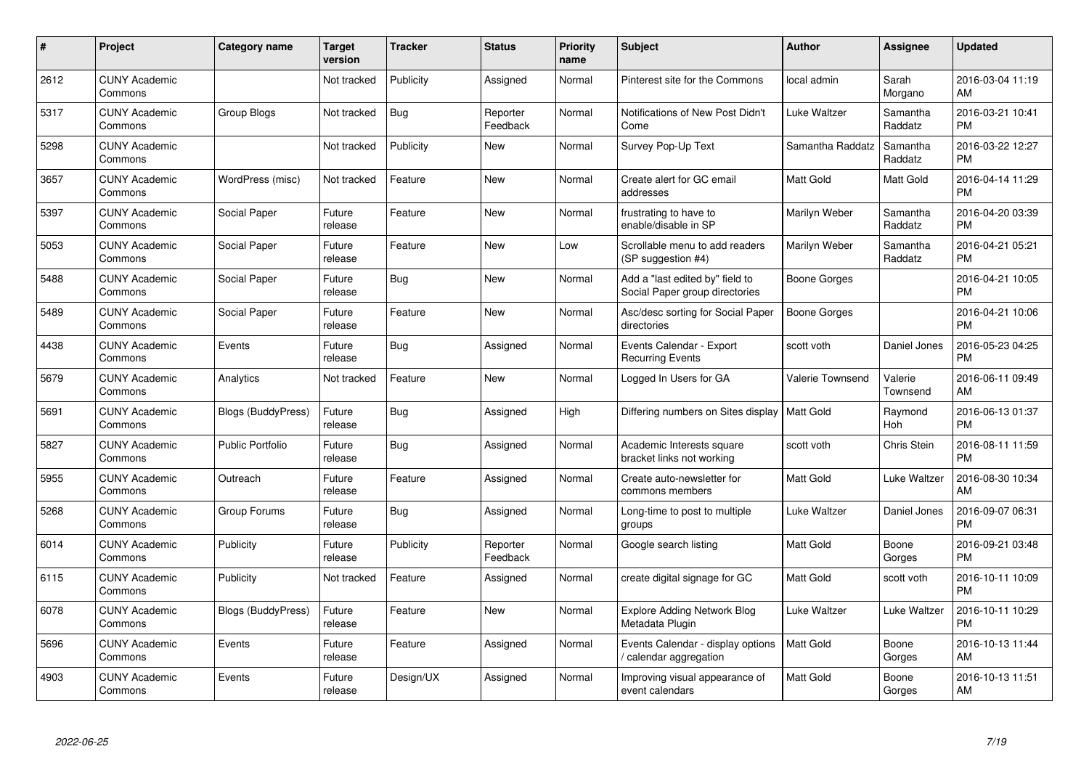| #    | Project                         | <b>Category name</b>      | <b>Target</b><br>version | <b>Tracker</b> | <b>Status</b>        | <b>Priority</b><br>name | <b>Subject</b>                                                    | <b>Author</b>       | <b>Assignee</b>     | <b>Updated</b>                |
|------|---------------------------------|---------------------------|--------------------------|----------------|----------------------|-------------------------|-------------------------------------------------------------------|---------------------|---------------------|-------------------------------|
| 2612 | <b>CUNY Academic</b><br>Commons |                           | Not tracked              | Publicity      | Assigned             | Normal                  | Pinterest site for the Commons                                    | local admin         | Sarah<br>Morgano    | 2016-03-04 11:19<br>AM        |
| 5317 | <b>CUNY Academic</b><br>Commons | Group Blogs               | Not tracked              | <b>Bug</b>     | Reporter<br>Feedback | Normal                  | Notifications of New Post Didn't<br>Come                          | Luke Waltzer        | Samantha<br>Raddatz | 2016-03-21 10:41<br><b>PM</b> |
| 5298 | <b>CUNY Academic</b><br>Commons |                           | Not tracked              | Publicity      | <b>New</b>           | Normal                  | Survey Pop-Up Text                                                | Samantha Raddatz    | Samantha<br>Raddatz | 2016-03-22 12:27<br><b>PM</b> |
| 3657 | <b>CUNY Academic</b><br>Commons | WordPress (misc)          | Not tracked              | Feature        | <b>New</b>           | Normal                  | Create alert for GC email<br>addresses                            | Matt Gold           | <b>Matt Gold</b>    | 2016-04-14 11:29<br>PM        |
| 5397 | <b>CUNY Academic</b><br>Commons | Social Paper              | Future<br>release        | Feature        | <b>New</b>           | Normal                  | frustrating to have to<br>enable/disable in SP                    | Marilyn Weber       | Samantha<br>Raddatz | 2016-04-20 03:39<br><b>PM</b> |
| 5053 | <b>CUNY Academic</b><br>Commons | Social Paper              | Future<br>release        | Feature        | <b>New</b>           | Low                     | Scrollable menu to add readers<br>(SP suggestion #4)              | Marilyn Weber       | Samantha<br>Raddatz | 2016-04-21 05:21<br>PM        |
| 5488 | <b>CUNY Academic</b><br>Commons | Social Paper              | Future<br>release        | Bug            | New                  | Normal                  | Add a "last edited by" field to<br>Social Paper group directories | Boone Gorges        |                     | 2016-04-21 10:05<br><b>PM</b> |
| 5489 | <b>CUNY Academic</b><br>Commons | Social Paper              | Future<br>release        | Feature        | <b>New</b>           | Normal                  | Asc/desc sorting for Social Paper<br>directories                  | <b>Boone Gorges</b> |                     | 2016-04-21 10:06<br><b>PM</b> |
| 4438 | <b>CUNY Academic</b><br>Commons | Events                    | Future<br>release        | Bug            | Assigned             | Normal                  | Events Calendar - Export<br><b>Recurring Events</b>               | scott voth          | Daniel Jones        | 2016-05-23 04:25<br>PM        |
| 5679 | <b>CUNY Academic</b><br>Commons | Analytics                 | Not tracked              | Feature        | <b>New</b>           | Normal                  | Logged In Users for GA                                            | Valerie Townsend    | Valerie<br>Townsend | 2016-06-11 09:49<br>AM        |
| 5691 | <b>CUNY Academic</b><br>Commons | Blogs (BuddyPress)        | Future<br>release        | <b>Bug</b>     | Assigned             | High                    | Differing numbers on Sites display                                | Matt Gold           | Raymond<br>Hoh      | 2016-06-13 01:37<br>PM        |
| 5827 | <b>CUNY Academic</b><br>Commons | <b>Public Portfolio</b>   | Future<br>release        | <b>Bug</b>     | Assigned             | Normal                  | Academic Interests square<br>bracket links not working            | scott voth          | Chris Stein         | 2016-08-11 11:59<br>PM        |
| 5955 | <b>CUNY Academic</b><br>Commons | Outreach                  | Future<br>release        | Feature        | Assigned             | Normal                  | Create auto-newsletter for<br>commons members                     | Matt Gold           | Luke Waltzer        | 2016-08-30 10:34<br>AM        |
| 5268 | <b>CUNY Academic</b><br>Commons | Group Forums              | Future<br>release        | Bug            | Assigned             | Normal                  | Long-time to post to multiple<br>groups                           | Luke Waltzer        | Daniel Jones        | 2016-09-07 06:31<br>PM        |
| 6014 | <b>CUNY Academic</b><br>Commons | Publicity                 | Future<br>release        | Publicity      | Reporter<br>Feedback | Normal                  | Google search listing                                             | Matt Gold           | Boone<br>Gorges     | 2016-09-21 03:48<br>PМ        |
| 6115 | <b>CUNY Academic</b><br>Commons | Publicity                 | Not tracked              | Feature        | Assigned             | Normal                  | create digital signage for GC                                     | Matt Gold           | scott voth          | 2016-10-11 10:09<br><b>PM</b> |
| 6078 | <b>CUNY Academic</b><br>Commons | <b>Blogs (BuddyPress)</b> | Future<br>release        | Feature        | New                  | Normal                  | <b>Explore Adding Network Blog</b><br>Metadata Plugin             | Luke Waltzer        | Luke Waltzer        | 2016-10-11 10:29<br>PM        |
| 5696 | <b>CUNY Academic</b><br>Commons | Events                    | Future<br>release        | Feature        | Assigned             | Normal                  | Events Calendar - display options<br>calendar aggregation         | Matt Gold           | Boone<br>Gorges     | 2016-10-13 11:44<br>AM        |
| 4903 | <b>CUNY Academic</b><br>Commons | Events                    | Future<br>release        | Design/UX      | Assigned             | Normal                  | Improving visual appearance of<br>event calendars                 | Matt Gold           | Boone<br>Gorges     | 2016-10-13 11:51<br>AM        |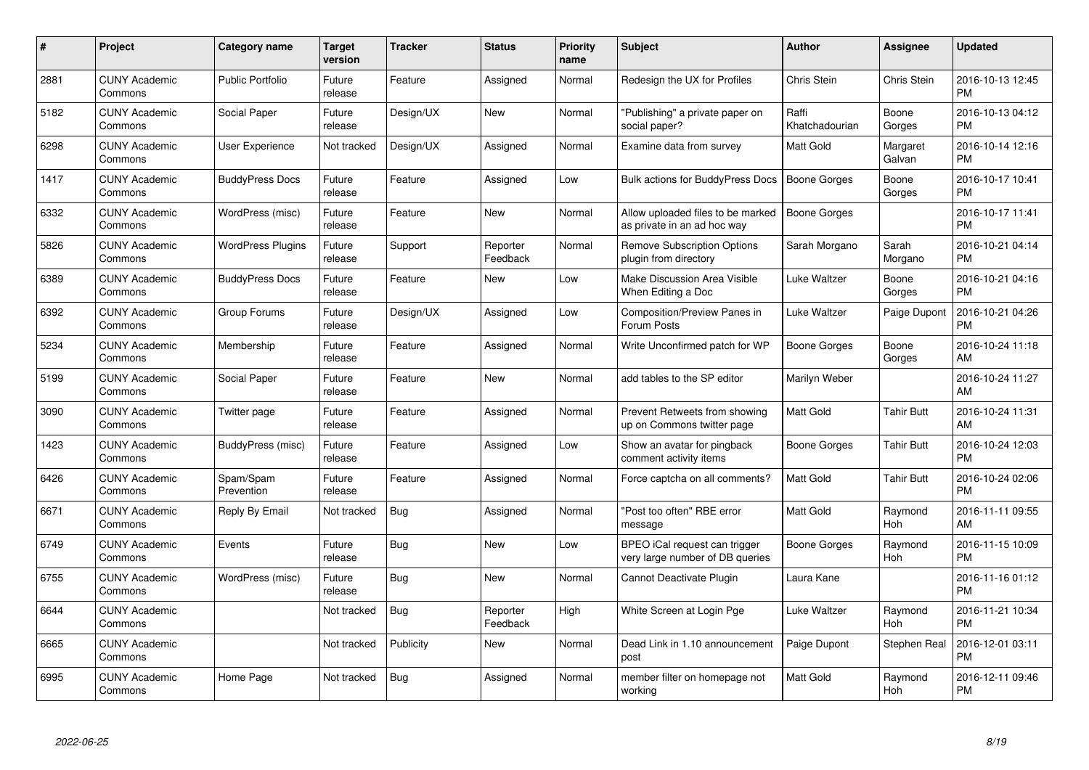| $\pmb{\#}$ | Project                         | <b>Category name</b>     | Target<br>version | <b>Tracker</b> | <b>Status</b>        | <b>Priority</b><br>name | <b>Subject</b>                                                   | Author                  | <b>Assignee</b>       | Updated                       |
|------------|---------------------------------|--------------------------|-------------------|----------------|----------------------|-------------------------|------------------------------------------------------------------|-------------------------|-----------------------|-------------------------------|
| 2881       | <b>CUNY Academic</b><br>Commons | <b>Public Portfolio</b>  | Future<br>release | Feature        | Assigned             | Normal                  | Redesign the UX for Profiles                                     | Chris Stein             | Chris Stein           | 2016-10-13 12:45<br><b>PM</b> |
| 5182       | <b>CUNY Academic</b><br>Commons | Social Paper             | Future<br>release | Design/UX      | <b>New</b>           | Normal                  | "Publishing" a private paper on<br>social paper?                 | Raffi<br>Khatchadourian | Boone<br>Gorges       | 2016-10-13 04:12<br><b>PM</b> |
| 6298       | <b>CUNY Academic</b><br>Commons | User Experience          | Not tracked       | Design/UX      | Assigned             | Normal                  | Examine data from survey                                         | Matt Gold               | Margaret<br>Galvan    | 2016-10-14 12:16<br><b>PM</b> |
| 1417       | <b>CUNY Academic</b><br>Commons | <b>BuddyPress Docs</b>   | Future<br>release | Feature        | Assigned             | Low                     | Bulk actions for BuddyPress Docs                                 | <b>Boone Gorges</b>     | Boone<br>Gorges       | 2016-10-17 10:41<br><b>PM</b> |
| 6332       | <b>CUNY Academic</b><br>Commons | WordPress (misc)         | Future<br>release | Feature        | <b>New</b>           | Normal                  | Allow uploaded files to be marked<br>as private in an ad hoc way | <b>Boone Gorges</b>     |                       | 2016-10-17 11:41<br><b>PM</b> |
| 5826       | <b>CUNY Academic</b><br>Commons | <b>WordPress Plugins</b> | Future<br>release | Support        | Reporter<br>Feedback | Normal                  | <b>Remove Subscription Options</b><br>plugin from directory      | Sarah Morgano           | Sarah<br>Morgano      | 2016-10-21 04:14<br>PМ        |
| 6389       | <b>CUNY Academic</b><br>Commons | <b>BuddyPress Docs</b>   | Future<br>release | Feature        | <b>New</b>           | Low                     | Make Discussion Area Visible<br>When Editing a Doc               | Luke Waltzer            | Boone<br>Gorges       | 2016-10-21 04:16<br>PM        |
| 6392       | <b>CUNY Academic</b><br>Commons | Group Forums             | Future<br>release | Design/UX      | Assigned             | Low                     | Composition/Preview Panes in<br>Forum Posts                      | Luke Waltzer            | Paige Dupont          | 2016-10-21 04:26<br>PM        |
| 5234       | <b>CUNY Academic</b><br>Commons | Membership               | Future<br>release | Feature        | Assigned             | Normal                  | Write Unconfirmed patch for WP                                   | Boone Gorges            | Boone<br>Gorges       | 2016-10-24 11:18<br>AM        |
| 5199       | <b>CUNY Academic</b><br>Commons | Social Paper             | Future<br>release | Feature        | <b>New</b>           | Normal                  | add tables to the SP editor                                      | Marilyn Weber           |                       | 2016-10-24 11:27<br>AM        |
| 3090       | <b>CUNY Academic</b><br>Commons | Twitter page             | Future<br>release | Feature        | Assigned             | Normal                  | Prevent Retweets from showing<br>up on Commons twitter page      | Matt Gold               | <b>Tahir Butt</b>     | 2016-10-24 11:31<br>AM        |
| 1423       | <b>CUNY Academic</b><br>Commons | BuddyPress (misc)        | Future<br>release | Feature        | Assigned             | Low                     | Show an avatar for pingback<br>comment activity items            | Boone Gorges            | <b>Tahir Butt</b>     | 2016-10-24 12:03<br><b>PM</b> |
| 6426       | <b>CUNY Academic</b><br>Commons | Spam/Spam<br>Prevention  | Future<br>release | Feature        | Assigned             | Normal                  | Force captcha on all comments?                                   | Matt Gold               | <b>Tahir Butt</b>     | 2016-10-24 02:06<br><b>PM</b> |
| 6671       | <b>CUNY Academic</b><br>Commons | Reply By Email           | Not tracked       | Bug            | Assigned             | Normal                  | "Post too often" RBE error<br>message                            | Matt Gold               | Raymond<br>Hoh        | 2016-11-11 09:55<br>AM        |
| 6749       | <b>CUNY Academic</b><br>Commons | Events                   | Future<br>release | <b>Bug</b>     | New                  | Low                     | BPEO iCal request can trigger<br>very large number of DB queries | Boone Gorges            | Raymond<br>Hoh        | 2016-11-15 10:09<br>PM        |
| 6755       | <b>CUNY Academic</b><br>Commons | WordPress (misc)         | Future<br>release | <b>Bug</b>     | <b>New</b>           | Normal                  | Cannot Deactivate Plugin                                         | Laura Kane              |                       | 2016-11-16 01:12<br><b>PM</b> |
| 6644       | <b>CUNY Academic</b><br>Commons |                          | Not tracked       | Bug            | Reporter<br>Feedback | High                    | White Screen at Login Pge                                        | Luke Waltzer            | Raymond<br><b>Hoh</b> | 2016-11-21 10:34<br><b>PM</b> |
| 6665       | <b>CUNY Academic</b><br>Commons |                          | Not tracked       | Publicity      | New                  | Normal                  | Dead Link in 1.10 announcement<br>post                           | Paige Dupont            | <b>Stephen Real</b>   | 2016-12-01 03:11<br>PM        |
| 6995       | <b>CUNY Academic</b><br>Commons | Home Page                | Not tracked       | <b>Bug</b>     | Assigned             | Normal                  | member filter on homepage not<br>working                         | Matt Gold               | Raymond<br>Hoh        | 2016-12-11 09:46<br>PM        |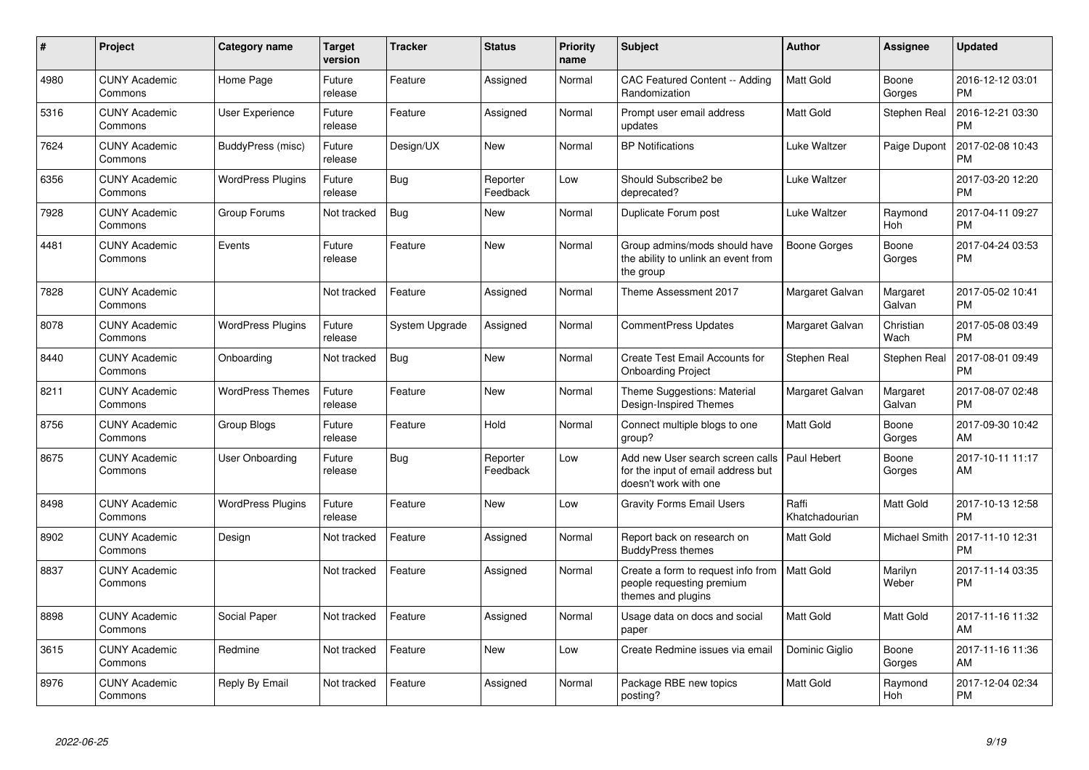| #    | <b>Project</b>                  | <b>Category name</b>     | <b>Target</b><br>version | Tracker        | <b>Status</b>        | Priority<br>name | <b>Subject</b>                                                                                  | <b>Author</b>           | Assignee           | <b>Updated</b>                |
|------|---------------------------------|--------------------------|--------------------------|----------------|----------------------|------------------|-------------------------------------------------------------------------------------------------|-------------------------|--------------------|-------------------------------|
| 4980 | <b>CUNY Academic</b><br>Commons | Home Page                | Future<br>release        | Feature        | Assigned             | Normal           | <b>CAC Featured Content -- Adding</b><br>Randomization                                          | Matt Gold               | Boone<br>Gorges    | 2016-12-12 03:01<br><b>PM</b> |
| 5316 | <b>CUNY Academic</b><br>Commons | <b>User Experience</b>   | Future<br>release        | Feature        | Assigned             | Normal           | Prompt user email address<br>updates                                                            | Matt Gold               | Stephen Real       | 2016-12-21 03:30<br><b>PM</b> |
| 7624 | <b>CUNY Academic</b><br>Commons | BuddyPress (misc)        | Future<br>release        | Design/UX      | <b>New</b>           | Normal           | <b>BP</b> Notifications                                                                         | Luke Waltzer            | Paige Dupont       | 2017-02-08 10:43<br>PM        |
| 6356 | <b>CUNY Academic</b><br>Commons | <b>WordPress Plugins</b> | Future<br>release        | <b>Bug</b>     | Reporter<br>Feedback | Low              | Should Subscribe2 be<br>deprecated?                                                             | Luke Waltzer            |                    | 2017-03-20 12:20<br><b>PM</b> |
| 7928 | <b>CUNY Academic</b><br>Commons | Group Forums             | Not tracked              | <b>Bug</b>     | New                  | Normal           | Duplicate Forum post                                                                            | Luke Waltzer            | Raymond<br>Hoh     | 2017-04-11 09:27<br><b>PM</b> |
| 4481 | <b>CUNY Academic</b><br>Commons | Events                   | Future<br>release        | Feature        | <b>New</b>           | Normal           | Group admins/mods should have<br>the ability to unlink an event from<br>the group               | Boone Gorges            | Boone<br>Gorges    | 2017-04-24 03:53<br><b>PM</b> |
| 7828 | <b>CUNY Academic</b><br>Commons |                          | Not tracked              | Feature        | Assigned             | Normal           | Theme Assessment 2017                                                                           | Margaret Galvan         | Margaret<br>Galvan | 2017-05-02 10:41<br><b>PM</b> |
| 8078 | <b>CUNY Academic</b><br>Commons | <b>WordPress Plugins</b> | Future<br>release        | System Upgrade | Assigned             | Normal           | <b>CommentPress Updates</b>                                                                     | Margaret Galvan         | Christian<br>Wach  | 2017-05-08 03:49<br><b>PM</b> |
| 8440 | <b>CUNY Academic</b><br>Commons | Onboarding               | Not tracked              | <b>Bug</b>     | <b>New</b>           | Normal           | <b>Create Test Email Accounts for</b><br><b>Onboarding Project</b>                              | Stephen Real            | Stephen Real       | 2017-08-01 09:49<br>PM        |
| 8211 | <b>CUNY Academic</b><br>Commons | <b>WordPress Themes</b>  | Future<br>release        | Feature        | <b>New</b>           | Normal           | Theme Suggestions: Material<br>Design-Inspired Themes                                           | Margaret Galvan         | Margaret<br>Galvan | 2017-08-07 02:48<br><b>PM</b> |
| 8756 | <b>CUNY Academic</b><br>Commons | Group Blogs              | Future<br>release        | Feature        | Hold                 | Normal           | Connect multiple blogs to one<br>group?                                                         | Matt Gold               | Boone<br>Gorges    | 2017-09-30 10:42<br>AM        |
| 8675 | <b>CUNY Academic</b><br>Commons | User Onboarding          | Future<br>release        | <b>Bug</b>     | Reporter<br>Feedback | Low              | Add new User search screen calls<br>for the input of email address but<br>doesn't work with one | Paul Hebert             | Boone<br>Gorges    | 2017-10-11 11:17<br>AM        |
| 8498 | <b>CUNY Academic</b><br>Commons | <b>WordPress Plugins</b> | Future<br>release        | Feature        | <b>New</b>           | Low              | <b>Gravity Forms Email Users</b>                                                                | Raffi<br>Khatchadourian | Matt Gold          | 2017-10-13 12:58<br><b>PM</b> |
| 8902 | <b>CUNY Academic</b><br>Commons | Design                   | Not tracked              | Feature        | Assigned             | Normal           | Report back on research on<br><b>BuddyPress themes</b>                                          | Matt Gold               | Michael Smith      | 2017-11-10 12:31<br>PM        |
| 8837 | <b>CUNY Academic</b><br>Commons |                          | Not tracked              | Feature        | Assigned             | Normal           | Create a form to request info from<br>people requesting premium<br>themes and plugins           | <b>Matt Gold</b>        | Marilyn<br>Weber   | 2017-11-14 03:35<br><b>PM</b> |
| 8898 | <b>CUNY Academic</b><br>Commons | Social Paper             | Not tracked              | Feature        | Assigned             | Normal           | Usage data on docs and social<br>paper                                                          | Matt Gold               | <b>Matt Gold</b>   | 2017-11-16 11:32<br>AM        |
| 3615 | <b>CUNY Academic</b><br>Commons | Redmine                  | Not tracked              | Feature        | <b>New</b>           | Low              | Create Redmine issues via email                                                                 | Dominic Giglio          | Boone<br>Gorges    | 2017-11-16 11:36<br>AM        |
| 8976 | <b>CUNY Academic</b><br>Commons | Reply By Email           | Not tracked              | Feature        | Assigned             | Normal           | Package RBE new topics<br>posting?                                                              | Matt Gold               | Raymond<br>Hoh     | 2017-12-04 02:34<br><b>PM</b> |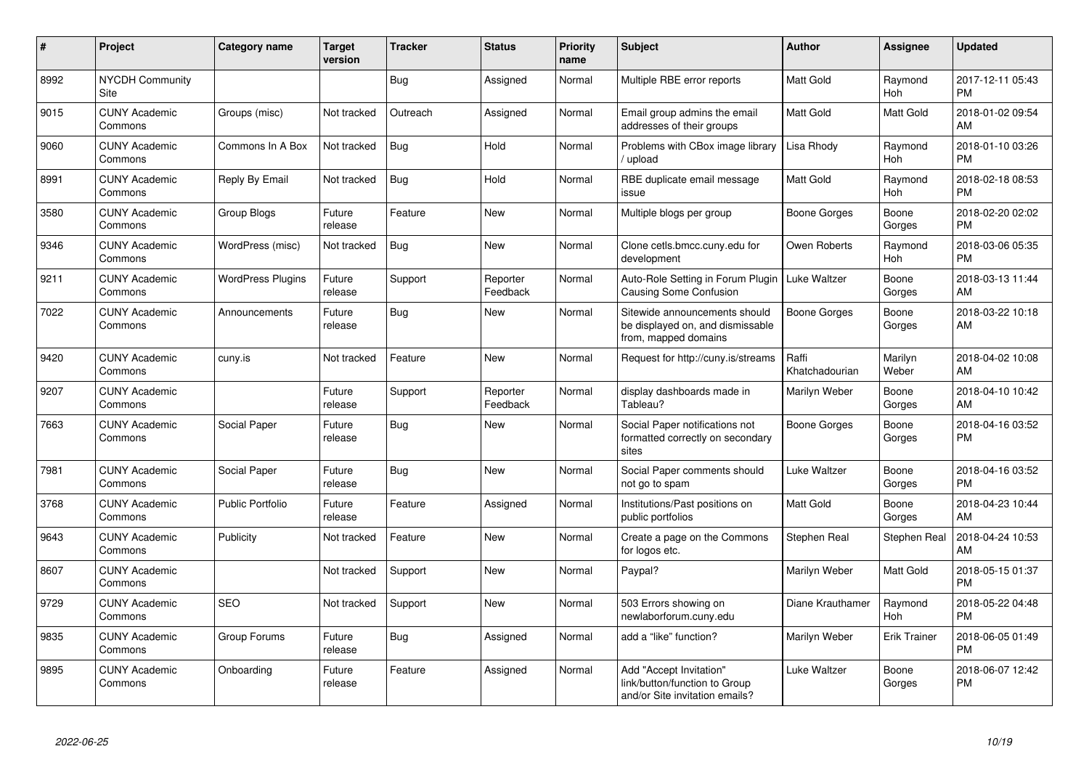| $\pmb{\#}$ | Project                         | <b>Category name</b>     | <b>Target</b><br>version | Tracker    | <b>Status</b>        | <b>Priority</b><br>name | <b>Subject</b>                                                                             | <b>Author</b>           | Assignee              | <b>Updated</b>                |
|------------|---------------------------------|--------------------------|--------------------------|------------|----------------------|-------------------------|--------------------------------------------------------------------------------------------|-------------------------|-----------------------|-------------------------------|
| 8992       | <b>NYCDH Community</b><br>Site  |                          |                          | Bug        | Assigned             | Normal                  | Multiple RBE error reports                                                                 | Matt Gold               | Raymond<br>Hoh        | 2017-12-11 05:43<br><b>PM</b> |
| 9015       | <b>CUNY Academic</b><br>Commons | Groups (misc)            | Not tracked              | Outreach   | Assigned             | Normal                  | Email group admins the email<br>addresses of their groups                                  | Matt Gold               | <b>Matt Gold</b>      | 2018-01-02 09:54<br>AM        |
| 9060       | <b>CUNY Academic</b><br>Commons | Commons In A Box         | Not tracked              | Bug        | Hold                 | Normal                  | Problems with CBox image library<br>/ upload                                               | Lisa Rhody              | Raymond<br>Hoh        | 2018-01-10 03:26<br>PM        |
| 8991       | <b>CUNY Academic</b><br>Commons | Reply By Email           | Not tracked              | <b>Bug</b> | Hold                 | Normal                  | RBE duplicate email message<br>issue                                                       | Matt Gold               | Raymond<br>Hoh        | 2018-02-18 08:53<br><b>PM</b> |
| 3580       | <b>CUNY Academic</b><br>Commons | Group Blogs              | Future<br>release        | Feature    | <b>New</b>           | Normal                  | Multiple blogs per group                                                                   | <b>Boone Gorges</b>     | Boone<br>Gorges       | 2018-02-20 02:02<br>PМ        |
| 9346       | <b>CUNY Academic</b><br>Commons | WordPress (misc)         | Not tracked              | Bug        | <b>New</b>           | Normal                  | Clone cetls.bmcc.cuny.edu for<br>development                                               | Owen Roberts            | Raymond<br><b>Hoh</b> | 2018-03-06 05:35<br><b>PM</b> |
| 9211       | <b>CUNY Academic</b><br>Commons | <b>WordPress Plugins</b> | Future<br>release        | Support    | Reporter<br>Feedback | Normal                  | Auto-Role Setting in Forum Plugin<br><b>Causing Some Confusion</b>                         | Luke Waltzer            | Boone<br>Gorges       | 2018-03-13 11:44<br>AM        |
| 7022       | <b>CUNY Academic</b><br>Commons | Announcements            | Future<br>release        | Bug        | <b>New</b>           | Normal                  | Sitewide announcements should<br>be displayed on, and dismissable<br>from, mapped domains  | Boone Gorges            | Boone<br>Gorges       | 2018-03-22 10:18<br>AM        |
| 9420       | <b>CUNY Academic</b><br>Commons | cuny.is                  | Not tracked              | Feature    | <b>New</b>           | Normal                  | Request for http://cuny.is/streams                                                         | Raffi<br>Khatchadourian | Marilyn<br>Weber      | 2018-04-02 10:08<br>AM        |
| 9207       | <b>CUNY Academic</b><br>Commons |                          | Future<br>release        | Support    | Reporter<br>Feedback | Normal                  | display dashboards made in<br>Tableau?                                                     | Marilyn Weber           | Boone<br>Gorges       | 2018-04-10 10:42<br>AM        |
| 7663       | <b>CUNY Academic</b><br>Commons | Social Paper             | Future<br>release        | <b>Bug</b> | <b>New</b>           | Normal                  | Social Paper notifications not<br>formatted correctly on secondary<br>sites                | Boone Gorges            | Boone<br>Gorges       | 2018-04-16 03:52<br><b>PM</b> |
| 7981       | <b>CUNY Academic</b><br>Commons | Social Paper             | Future<br>release        | Bug        | <b>New</b>           | Normal                  | Social Paper comments should<br>not go to spam                                             | Luke Waltzer            | Boone<br>Gorges       | 2018-04-16 03:52<br><b>PM</b> |
| 3768       | <b>CUNY Academic</b><br>Commons | <b>Public Portfolio</b>  | Future<br>release        | Feature    | Assigned             | Normal                  | Institutions/Past positions on<br>public portfolios                                        | Matt Gold               | Boone<br>Gorges       | 2018-04-23 10:44<br>AM        |
| 9643       | <b>CUNY Academic</b><br>Commons | Publicity                | Not tracked              | Feature    | <b>New</b>           | Normal                  | Create a page on the Commons<br>for logos etc.                                             | Stephen Real            | Stephen Real          | 2018-04-24 10:53<br>AМ        |
| 8607       | <b>CUNY Academic</b><br>Commons |                          | Not tracked              | Support    | <b>New</b>           | Normal                  | Paypal?                                                                                    | Marilyn Weber           | Matt Gold             | 2018-05-15 01:37<br><b>PM</b> |
| 9729       | <b>CUNY Academic</b><br>Commons | <b>SEO</b>               | Not tracked              | Support    | <b>New</b>           | Normal                  | 503 Errors showing on<br>newlaborforum.cuny.edu                                            | Diane Krauthamer        | Raymond<br>Hoh        | 2018-05-22 04:48<br>PM        |
| 9835       | <b>CUNY Academic</b><br>Commons | Group Forums             | Future<br>release        | Bug        | Assigned             | Normal                  | add a "like" function?                                                                     | Marilyn Weber           | <b>Erik Trainer</b>   | 2018-06-05 01:49<br><b>PM</b> |
| 9895       | <b>CUNY Academic</b><br>Commons | Onboarding               | Future<br>release        | Feature    | Assigned             | Normal                  | Add "Accept Invitation"<br>link/button/function to Group<br>and/or Site invitation emails? | Luke Waltzer            | Boone<br>Gorges       | 2018-06-07 12:42<br>РM        |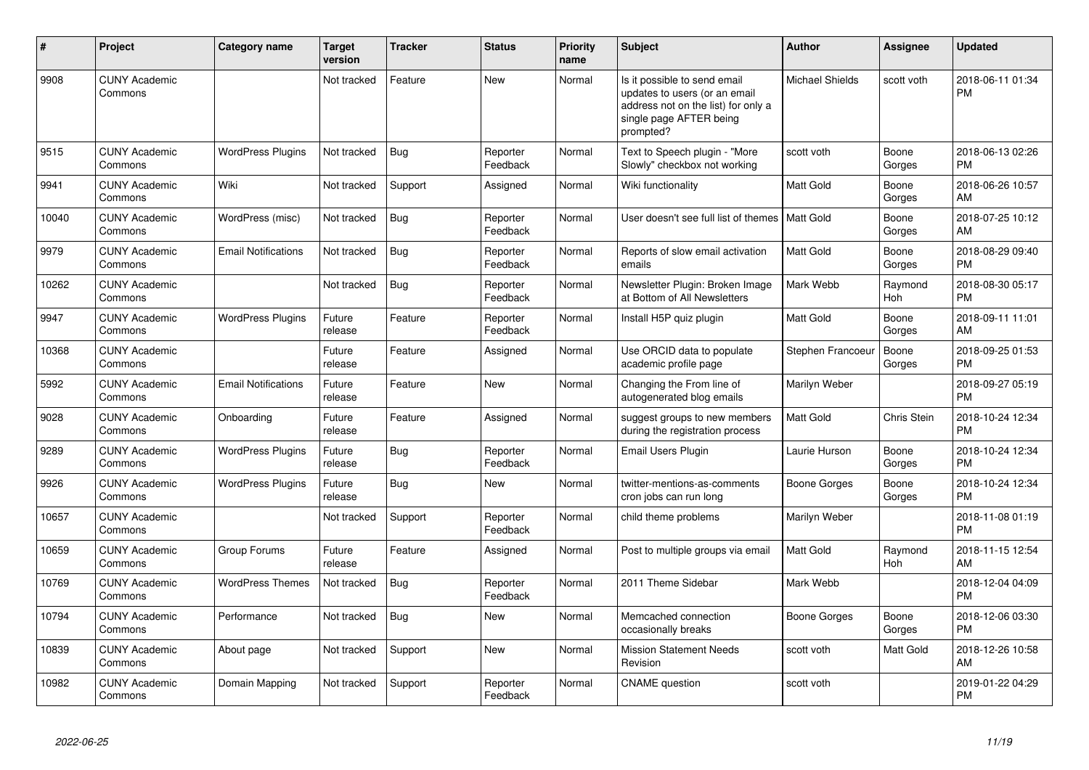| #     | Project                         | Category name              | <b>Target</b><br>version | <b>Tracker</b> | <b>Status</b>        | <b>Priority</b><br>name | <b>Subject</b>                                                                                                                               | <b>Author</b>          | <b>Assignee</b>       | <b>Updated</b>                |
|-------|---------------------------------|----------------------------|--------------------------|----------------|----------------------|-------------------------|----------------------------------------------------------------------------------------------------------------------------------------------|------------------------|-----------------------|-------------------------------|
| 9908  | <b>CUNY Academic</b><br>Commons |                            | Not tracked              | Feature        | <b>New</b>           | Normal                  | Is it possible to send email<br>updates to users (or an email<br>address not on the list) for only a<br>single page AFTER being<br>prompted? | <b>Michael Shields</b> | scott voth            | 2018-06-11 01:34<br><b>PM</b> |
| 9515  | <b>CUNY Academic</b><br>Commons | <b>WordPress Plugins</b>   | Not tracked              | <b>Bug</b>     | Reporter<br>Feedback | Normal                  | Text to Speech plugin - "More<br>Slowly" checkbox not working                                                                                | scott voth             | Boone<br>Gorges       | 2018-06-13 02:26<br><b>PM</b> |
| 9941  | <b>CUNY Academic</b><br>Commons | Wiki                       | Not tracked              | Support        | Assigned             | Normal                  | Wiki functionality                                                                                                                           | Matt Gold              | Boone<br>Gorges       | 2018-06-26 10:57<br>AM        |
| 10040 | <b>CUNY Academic</b><br>Commons | WordPress (misc)           | Not tracked              | <b>Bug</b>     | Reporter<br>Feedback | Normal                  | User doesn't see full list of themes                                                                                                         | Matt Gold              | Boone<br>Gorges       | 2018-07-25 10:12<br>AM        |
| 9979  | <b>CUNY Academic</b><br>Commons | <b>Email Notifications</b> | Not tracked              | Bug            | Reporter<br>Feedback | Normal                  | Reports of slow email activation<br>emails                                                                                                   | Matt Gold              | Boone<br>Gorges       | 2018-08-29 09:40<br><b>PM</b> |
| 10262 | <b>CUNY Academic</b><br>Commons |                            | Not tracked              | <b>Bug</b>     | Reporter<br>Feedback | Normal                  | Newsletter Plugin: Broken Image<br>at Bottom of All Newsletters                                                                              | Mark Webb              | Raymond<br><b>Hoh</b> | 2018-08-30 05:17<br><b>PM</b> |
| 9947  | <b>CUNY Academic</b><br>Commons | <b>WordPress Plugins</b>   | Future<br>release        | Feature        | Reporter<br>Feedback | Normal                  | Install H5P quiz plugin                                                                                                                      | Matt Gold              | Boone<br>Gorges       | 2018-09-11 11:01<br>AM        |
| 10368 | <b>CUNY Academic</b><br>Commons |                            | Future<br>release        | Feature        | Assigned             | Normal                  | Use ORCID data to populate<br>academic profile page                                                                                          | Stephen Francoeur      | Boone<br>Gorges       | 2018-09-25 01:53<br><b>PM</b> |
| 5992  | <b>CUNY Academic</b><br>Commons | <b>Email Notifications</b> | Future<br>release        | Feature        | <b>New</b>           | Normal                  | Changing the From line of<br>autogenerated blog emails                                                                                       | Marilyn Weber          |                       | 2018-09-27 05:19<br><b>PM</b> |
| 9028  | <b>CUNY Academic</b><br>Commons | Onboarding                 | Future<br>release        | Feature        | Assigned             | Normal                  | suggest groups to new members<br>during the registration process                                                                             | Matt Gold              | Chris Stein           | 2018-10-24 12:34<br><b>PM</b> |
| 9289  | <b>CUNY Academic</b><br>Commons | <b>WordPress Plugins</b>   | Future<br>release        | Bug            | Reporter<br>Feedback | Normal                  | <b>Email Users Plugin</b>                                                                                                                    | Laurie Hurson          | Boone<br>Gorges       | 2018-10-24 12:34<br><b>PM</b> |
| 9926  | <b>CUNY Academic</b><br>Commons | <b>WordPress Plugins</b>   | Future<br>release        | Bug            | <b>New</b>           | Normal                  | twitter-mentions-as-comments<br>cron jobs can run long                                                                                       | Boone Gorges           | Boone<br>Gorges       | 2018-10-24 12:34<br><b>PM</b> |
| 10657 | <b>CUNY Academic</b><br>Commons |                            | Not tracked              | Support        | Reporter<br>Feedback | Normal                  | child theme problems                                                                                                                         | Marilyn Weber          |                       | 2018-11-08 01:19<br><b>PM</b> |
| 10659 | <b>CUNY Academic</b><br>Commons | Group Forums               | Future<br>release        | Feature        | Assigned             | Normal                  | Post to multiple groups via email                                                                                                            | Matt Gold              | Raymond<br>Hoh        | 2018-11-15 12:54<br>AM        |
| 10769 | <b>CUNY Academic</b><br>Commons | <b>WordPress Themes</b>    | Not tracked              | Bug            | Reporter<br>Feedback | Normal                  | 2011 Theme Sidebar                                                                                                                           | Mark Webb              |                       | 2018-12-04 04:09<br><b>PM</b> |
| 10794 | <b>CUNY Academic</b><br>Commons | Performance                | Not tracked              | <b>Bug</b>     | <b>New</b>           | Normal                  | Memcached connection<br>occasionally breaks                                                                                                  | Boone Gorges           | Boone<br>Gorges       | 2018-12-06 03:30<br><b>PM</b> |
| 10839 | <b>CUNY Academic</b><br>Commons | About page                 | Not tracked              | Support        | <b>New</b>           | Normal                  | <b>Mission Statement Needs</b><br>Revision                                                                                                   | scott voth             | Matt Gold             | 2018-12-26 10:58<br>AM        |
| 10982 | <b>CUNY Academic</b><br>Commons | Domain Mapping             | Not tracked              | Support        | Reporter<br>Feedback | Normal                  | <b>CNAME</b> question                                                                                                                        | scott voth             |                       | 2019-01-22 04:29<br><b>PM</b> |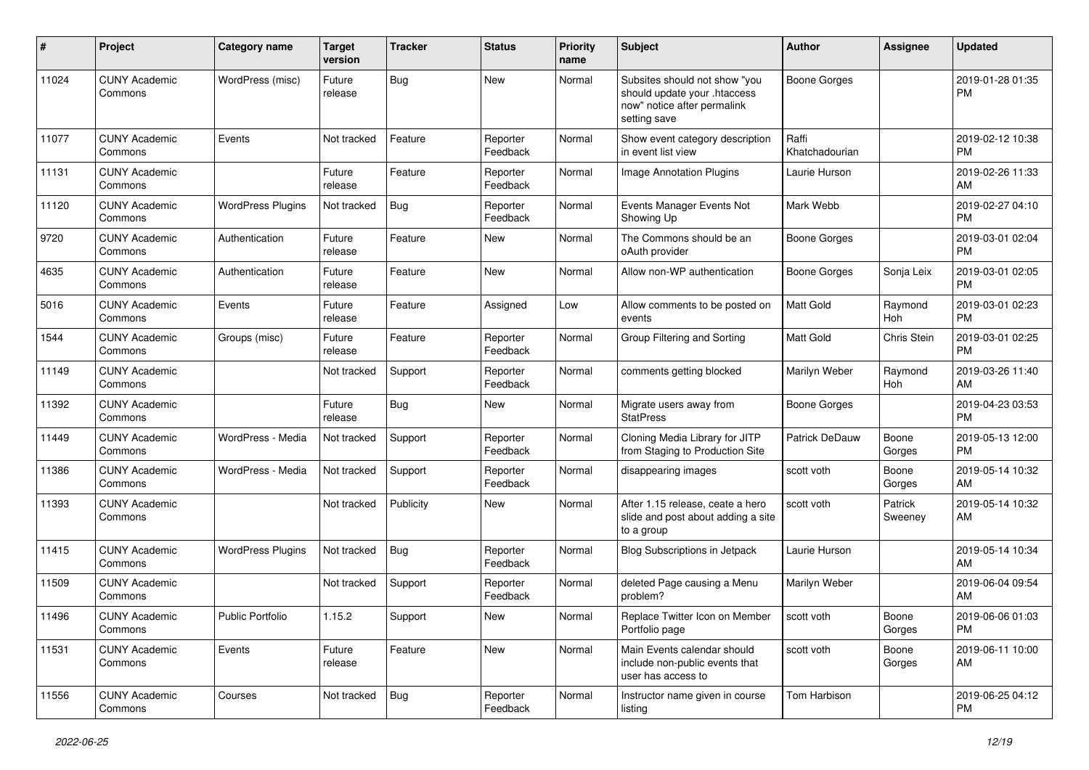| #     | Project                         | <b>Category name</b>     | <b>Target</b><br>version | <b>Tracker</b> | <b>Status</b>        | <b>Priority</b><br>name | <b>Subject</b>                                                                                               | <b>Author</b>           | <b>Assignee</b>    | <b>Updated</b>                |
|-------|---------------------------------|--------------------------|--------------------------|----------------|----------------------|-------------------------|--------------------------------------------------------------------------------------------------------------|-------------------------|--------------------|-------------------------------|
| 11024 | <b>CUNY Academic</b><br>Commons | WordPress (misc)         | Future<br>release        | Bug            | New                  | Normal                  | Subsites should not show "you<br>should update your .htaccess<br>now" notice after permalink<br>setting save | <b>Boone Gorges</b>     |                    | 2019-01-28 01:35<br><b>PM</b> |
| 11077 | <b>CUNY Academic</b><br>Commons | Events                   | Not tracked              | Feature        | Reporter<br>Feedback | Normal                  | Show event category description<br>in event list view                                                        | Raffi<br>Khatchadourian |                    | 2019-02-12 10:38<br><b>PM</b> |
| 11131 | <b>CUNY Academic</b><br>Commons |                          | Future<br>release        | Feature        | Reporter<br>Feedback | Normal                  | Image Annotation Plugins                                                                                     | Laurie Hurson           |                    | 2019-02-26 11:33<br>AM        |
| 11120 | <b>CUNY Academic</b><br>Commons | <b>WordPress Plugins</b> | Not tracked              | Bug            | Reporter<br>Feedback | Normal                  | Events Manager Events Not<br>Showing Up                                                                      | Mark Webb               |                    | 2019-02-27 04:10<br><b>PM</b> |
| 9720  | <b>CUNY Academic</b><br>Commons | Authentication           | Future<br>release        | Feature        | New                  | Normal                  | The Commons should be an<br>oAuth provider                                                                   | <b>Boone Gorges</b>     |                    | 2019-03-01 02:04<br><b>PM</b> |
| 4635  | <b>CUNY Academic</b><br>Commons | Authentication           | Future<br>release        | Feature        | New                  | Normal                  | Allow non-WP authentication                                                                                  | <b>Boone Gorges</b>     | Sonja Leix         | 2019-03-01 02:05<br><b>PM</b> |
| 5016  | <b>CUNY Academic</b><br>Commons | Events                   | Future<br>release        | Feature        | Assigned             | Low                     | Allow comments to be posted on<br>events                                                                     | <b>Matt Gold</b>        | Raymond<br>Hoh     | 2019-03-01 02:23<br><b>PM</b> |
| 1544  | <b>CUNY Academic</b><br>Commons | Groups (misc)            | Future<br>release        | Feature        | Reporter<br>Feedback | Normal                  | Group Filtering and Sorting                                                                                  | <b>Matt Gold</b>        | Chris Stein        | 2019-03-01 02:25<br><b>PM</b> |
| 11149 | <b>CUNY Academic</b><br>Commons |                          | Not tracked              | Support        | Reporter<br>Feedback | Normal                  | comments getting blocked                                                                                     | Marilyn Weber           | Raymond<br>Hoh     | 2019-03-26 11:40<br>AM        |
| 11392 | <b>CUNY Academic</b><br>Commons |                          | Future<br>release        | Bug            | New                  | Normal                  | Migrate users away from<br><b>StatPress</b>                                                                  | <b>Boone Gorges</b>     |                    | 2019-04-23 03:53<br><b>PM</b> |
| 11449 | <b>CUNY Academic</b><br>Commons | WordPress - Media        | Not tracked              | Support        | Reporter<br>Feedback | Normal                  | Cloning Media Library for JITP<br>from Staging to Production Site                                            | <b>Patrick DeDauw</b>   | Boone<br>Gorges    | 2019-05-13 12:00<br><b>PM</b> |
| 11386 | <b>CUNY Academic</b><br>Commons | WordPress - Media        | Not tracked              | Support        | Reporter<br>Feedback | Normal                  | disappearing images                                                                                          | scott voth              | Boone<br>Gorges    | 2019-05-14 10:32<br>AM        |
| 11393 | <b>CUNY Academic</b><br>Commons |                          | Not tracked              | Publicity      | New                  | Normal                  | After 1.15 release, ceate a hero<br>slide and post about adding a site<br>to a group                         | scott voth              | Patrick<br>Sweeney | 2019-05-14 10:32<br>AM        |
| 11415 | <b>CUNY Academic</b><br>Commons | <b>WordPress Plugins</b> | Not tracked              | <b>Bug</b>     | Reporter<br>Feedback | Normal                  | <b>Blog Subscriptions in Jetpack</b>                                                                         | Laurie Hurson           |                    | 2019-05-14 10:34<br>AM        |
| 11509 | <b>CUNY Academic</b><br>Commons |                          | Not tracked              | Support        | Reporter<br>Feedback | Normal                  | deleted Page causing a Menu<br>problem?                                                                      | Marilyn Weber           |                    | 2019-06-04 09:54<br>AM        |
| 11496 | <b>CUNY Academic</b><br>Commons | Public Portfolio         | 1.15.2                   | Support        | New                  | Normal                  | Replace Twitter Icon on Member<br>Portfolio page                                                             | scott voth              | Boone<br>Gorges    | 2019-06-06 01:03<br><b>PM</b> |
| 11531 | <b>CUNY Academic</b><br>Commons | Events                   | Future<br>release        | Feature        | New                  | Normal                  | Main Events calendar should<br>include non-public events that<br>user has access to                          | scott voth              | Boone<br>Gorges    | 2019-06-11 10:00<br>AM        |
| 11556 | <b>CUNY Academic</b><br>Commons | Courses                  | Not tracked              | <b>Bug</b>     | Reporter<br>Feedback | Normal                  | Instructor name given in course<br>listing                                                                   | Tom Harbison            |                    | 2019-06-25 04:12<br>PM        |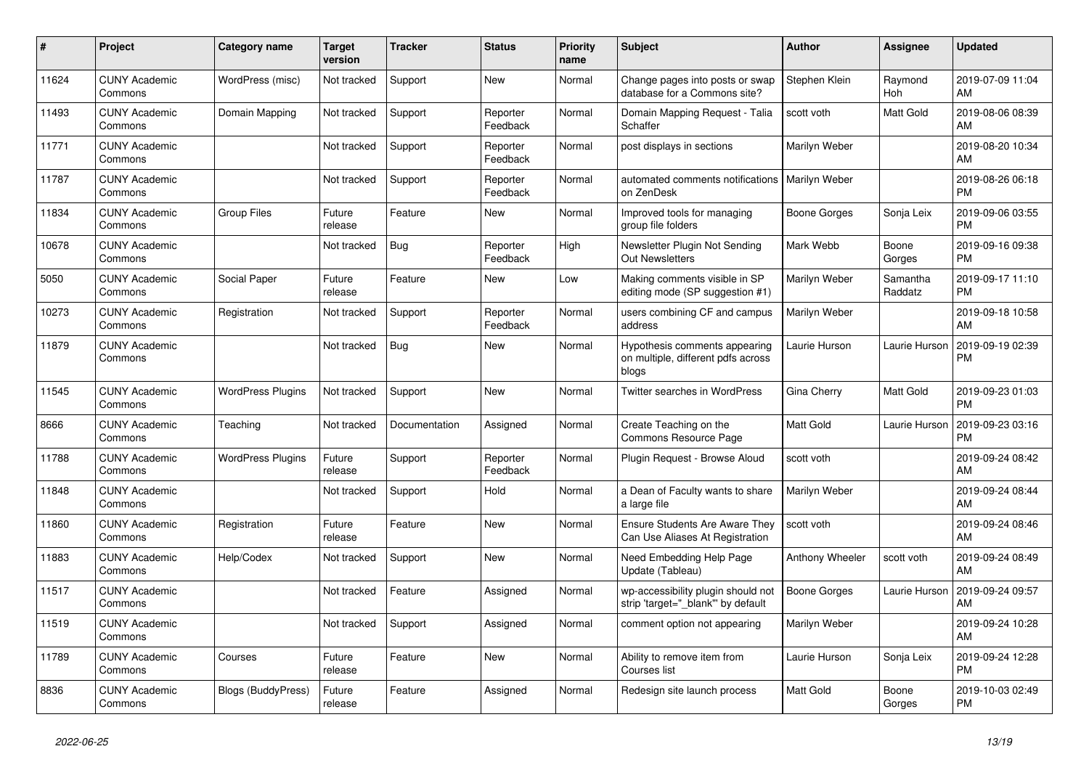| #     | <b>Project</b>                  | <b>Category name</b>     | <b>Target</b><br>version | Tracker       | <b>Status</b>        | <b>Priority</b><br>name | <b>Subject</b>                                                               | <b>Author</b>          | Assignee              | <b>Updated</b>                |
|-------|---------------------------------|--------------------------|--------------------------|---------------|----------------------|-------------------------|------------------------------------------------------------------------------|------------------------|-----------------------|-------------------------------|
| 11624 | <b>CUNY Academic</b><br>Commons | WordPress (misc)         | Not tracked              | Support       | <b>New</b>           | Normal                  | Change pages into posts or swap<br>database for a Commons site?              | Stephen Klein          | Raymond<br><b>Hoh</b> | 2019-07-09 11:04<br>AM        |
| 11493 | <b>CUNY Academic</b><br>Commons | Domain Mapping           | Not tracked              | Support       | Reporter<br>Feedback | Normal                  | Domain Mapping Request - Talia<br>Schaffer                                   | scott voth             | Matt Gold             | 2019-08-06 08:39<br>AM        |
| 11771 | <b>CUNY Academic</b><br>Commons |                          | Not tracked              | Support       | Reporter<br>Feedback | Normal                  | post displays in sections                                                    | Marilyn Weber          |                       | 2019-08-20 10:34<br>AM        |
| 11787 | <b>CUNY Academic</b><br>Commons |                          | Not tracked              | Support       | Reporter<br>Feedback | Normal                  | automated comments notifications   Marilyn Weber<br>on ZenDesk               |                        |                       | 2019-08-26 06:18<br><b>PM</b> |
| 11834 | <b>CUNY Academic</b><br>Commons | <b>Group Files</b>       | Future<br>release        | Feature       | <b>New</b>           | Normal                  | Improved tools for managing<br>group file folders                            | Boone Gorges           | Sonja Leix            | 2019-09-06 03:55<br><b>PM</b> |
| 10678 | <b>CUNY Academic</b><br>Commons |                          | Not tracked              | <b>Bug</b>    | Reporter<br>Feedback | High                    | Newsletter Plugin Not Sending<br><b>Out Newsletters</b>                      | Mark Webb              | Boone<br>Gorges       | 2019-09-16 09:38<br><b>PM</b> |
| 5050  | <b>CUNY Academic</b><br>Commons | Social Paper             | Future<br>release        | Feature       | <b>New</b>           | Low                     | Making comments visible in SP<br>editing mode (SP suggestion #1)             | Marilyn Weber          | Samantha<br>Raddatz   | 2019-09-17 11:10<br><b>PM</b> |
| 10273 | <b>CUNY Academic</b><br>Commons | Registration             | Not tracked              | Support       | Reporter<br>Feedback | Normal                  | users combining CF and campus<br>address                                     | Marilyn Weber          |                       | 2019-09-18 10:58<br>AM        |
| 11879 | <b>CUNY Academic</b><br>Commons |                          | Not tracked              | <b>Bug</b>    | <b>New</b>           | Normal                  | Hypothesis comments appearing<br>on multiple, different pdfs across<br>blogs | Laurie Hurson          | Laurie Hurson         | 2019-09-19 02:39<br><b>PM</b> |
| 11545 | <b>CUNY Academic</b><br>Commons | <b>WordPress Plugins</b> | Not tracked              | Support       | New                  | Normal                  | <b>Twitter searches in WordPress</b>                                         | Gina Cherry            | Matt Gold             | 2019-09-23 01:03<br><b>PM</b> |
| 8666  | <b>CUNY Academic</b><br>Commons | Teaching                 | Not tracked              | Documentation | Assigned             | Normal                  | Create Teaching on the<br>Commons Resource Page                              | Matt Gold              | Laurie Hurson         | 2019-09-23 03:16<br><b>PM</b> |
| 11788 | <b>CUNY Academic</b><br>Commons | <b>WordPress Plugins</b> | Future<br>release        | Support       | Reporter<br>Feedback | Normal                  | Plugin Reguest - Browse Aloud                                                | scott voth             |                       | 2019-09-24 08:42<br>AM        |
| 11848 | <b>CUNY Academic</b><br>Commons |                          | Not tracked              | Support       | Hold                 | Normal                  | a Dean of Faculty wants to share<br>a large file                             | Marilyn Weber          |                       | 2019-09-24 08:44<br>AM        |
| 11860 | <b>CUNY Academic</b><br>Commons | Registration             | Future<br>release        | Feature       | <b>New</b>           | Normal                  | Ensure Students Are Aware They<br>Can Use Aliases At Registration            | scott voth             |                       | 2019-09-24 08:46<br>AM        |
| 11883 | <b>CUNY Academic</b><br>Commons | Help/Codex               | Not tracked              | Support       | <b>New</b>           | Normal                  | Need Embedding Help Page<br>Update (Tableau)                                 | <b>Anthony Wheeler</b> | scott voth            | 2019-09-24 08:49<br>AM        |
| 11517 | <b>CUNY Academic</b><br>Commons |                          | Not tracked              | Feature       | Assigned             | Normal                  | wp-accessibility plugin should not<br>strip 'target="_blank" by default      | <b>Boone Gorges</b>    | Laurie Hurson         | 2019-09-24 09:57<br>AM        |
| 11519 | <b>CUNY Academic</b><br>Commons |                          | Not tracked              | Support       | Assigned             | Normal                  | comment option not appearing                                                 | Marilyn Weber          |                       | 2019-09-24 10:28<br>AM        |
| 11789 | <b>CUNY Academic</b><br>Commons | Courses                  | Future<br>release        | Feature       | <b>New</b>           | Normal                  | Ability to remove item from<br>Courses list                                  | Laurie Hurson          | Sonja Leix            | 2019-09-24 12:28<br><b>PM</b> |
| 8836  | <b>CUNY Academic</b><br>Commons | Blogs (BuddyPress)       | Future<br>release        | Feature       | Assigned             | Normal                  | Redesign site launch process                                                 | <b>Matt Gold</b>       | Boone<br>Gorges       | 2019-10-03 02:49<br><b>PM</b> |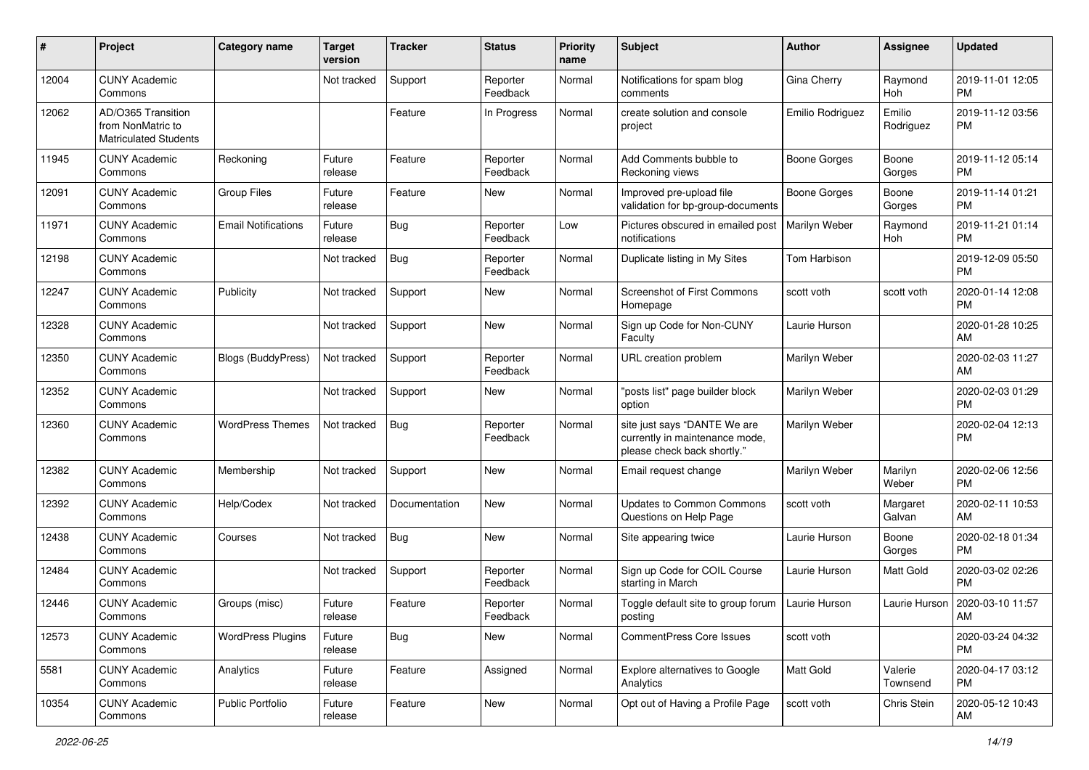| #     | Project                                                                 | <b>Category name</b>       | <b>Target</b><br>version | <b>Tracker</b> | <b>Status</b>        | <b>Priority</b><br>name | <b>Subject</b>                                                                                | <b>Author</b>       | <b>Assignee</b>     | <b>Updated</b>                |
|-------|-------------------------------------------------------------------------|----------------------------|--------------------------|----------------|----------------------|-------------------------|-----------------------------------------------------------------------------------------------|---------------------|---------------------|-------------------------------|
| 12004 | <b>CUNY Academic</b><br>Commons                                         |                            | Not tracked              | Support        | Reporter<br>Feedback | Normal                  | Notifications for spam blog<br>comments                                                       | Gina Cherry         | Raymond<br>Hoh      | 2019-11-01 12:05<br><b>PM</b> |
| 12062 | AD/O365 Transition<br>from NonMatric to<br><b>Matriculated Students</b> |                            |                          | Feature        | In Progress          | Normal                  | create solution and console<br>project                                                        | Emilio Rodriguez    | Emilio<br>Rodriguez | 2019-11-12 03:56<br><b>PM</b> |
| 11945 | <b>CUNY Academic</b><br>Commons                                         | Reckoning                  | Future<br>release        | Feature        | Reporter<br>Feedback | Normal                  | Add Comments bubble to<br>Reckoning views                                                     | <b>Boone Gorges</b> | Boone<br>Gorges     | 2019-11-12 05:14<br><b>PM</b> |
| 12091 | <b>CUNY Academic</b><br>Commons                                         | <b>Group Files</b>         | Future<br>release        | Feature        | New                  | Normal                  | Improved pre-upload file<br>validation for bp-group-documents                                 | <b>Boone Gorges</b> | Boone<br>Gorges     | 2019-11-14 01:21<br><b>PM</b> |
| 11971 | <b>CUNY Academic</b><br>Commons                                         | <b>Email Notifications</b> | Future<br>release        | Bug            | Reporter<br>Feedback | Low                     | Pictures obscured in emailed post<br>notifications                                            | Marilyn Weber       | Raymond<br>Hoh      | 2019-11-21 01:14<br><b>PM</b> |
| 12198 | <b>CUNY Academic</b><br>Commons                                         |                            | Not tracked              | <b>Bug</b>     | Reporter<br>Feedback | Normal                  | Duplicate listing in My Sites                                                                 | Tom Harbison        |                     | 2019-12-09 05:50<br><b>PM</b> |
| 12247 | <b>CUNY Academic</b><br>Commons                                         | Publicity                  | Not tracked              | Support        | New                  | Normal                  | <b>Screenshot of First Commons</b><br>Homepage                                                | scott voth          | scott voth          | 2020-01-14 12:08<br><b>PM</b> |
| 12328 | <b>CUNY Academic</b><br>Commons                                         |                            | Not tracked              | Support        | New                  | Normal                  | Sign up Code for Non-CUNY<br>Faculty                                                          | Laurie Hurson       |                     | 2020-01-28 10:25<br>AM        |
| 12350 | <b>CUNY Academic</b><br>Commons                                         | <b>Blogs (BuddyPress)</b>  | Not tracked              | Support        | Reporter<br>Feedback | Normal                  | URL creation problem                                                                          | Marilyn Weber       |                     | 2020-02-03 11:27<br>AM        |
| 12352 | <b>CUNY Academic</b><br>Commons                                         |                            | Not tracked              | Support        | New                  | Normal                  | "posts list" page builder block<br>option                                                     | Marilyn Weber       |                     | 2020-02-03 01:29<br><b>PM</b> |
| 12360 | <b>CUNY Academic</b><br>Commons                                         | <b>WordPress Themes</b>    | Not tracked              | <b>Bug</b>     | Reporter<br>Feedback | Normal                  | site just says "DANTE We are<br>currently in maintenance mode,<br>please check back shortly." | Marilyn Weber       |                     | 2020-02-04 12:13<br>PM        |
| 12382 | <b>CUNY Academic</b><br>Commons                                         | Membership                 | Not tracked              | Support        | <b>New</b>           | Normal                  | Email request change                                                                          | Marilyn Weber       | Marilyn<br>Weber    | 2020-02-06 12:56<br><b>PM</b> |
| 12392 | <b>CUNY Academic</b><br>Commons                                         | Help/Codex                 | Not tracked              | Documentation  | New                  | Normal                  | <b>Updates to Common Commons</b><br>Questions on Help Page                                    | scott voth          | Margaret<br>Galvan  | 2020-02-11 10:53<br>AM        |
| 12438 | <b>CUNY Academic</b><br>Commons                                         | Courses                    | Not tracked              | <b>Bug</b>     | New                  | Normal                  | Site appearing twice                                                                          | Laurie Hurson       | Boone<br>Gorges     | 2020-02-18 01:34<br><b>PM</b> |
| 12484 | <b>CUNY Academic</b><br>Commons                                         |                            | Not tracked              | Support        | Reporter<br>Feedback | Normal                  | Sign up Code for COIL Course<br>starting in March                                             | Laurie Hurson       | Matt Gold           | 2020-03-02 02:26<br><b>PM</b> |
| 12446 | <b>CUNY Academic</b><br>Commons                                         | Groups (misc)              | Future<br>release        | Feature        | Reporter<br>Feedback | Normal                  | Toggle default site to group forum  <br>posting                                               | Laurie Hurson       | Laurie Hurson       | 2020-03-10 11:57<br>AM        |
| 12573 | <b>CUNY Academic</b><br>Commons                                         | <b>WordPress Plugins</b>   | Future<br>release        | <b>Bug</b>     | New                  | Normal                  | CommentPress Core Issues                                                                      | scott voth          |                     | 2020-03-24 04:32<br>PM        |
| 5581  | <b>CUNY Academic</b><br>Commons                                         | Analytics                  | Future<br>release        | Feature        | Assigned             | Normal                  | Explore alternatives to Google<br>Analytics                                                   | Matt Gold           | Valerie<br>Townsend | 2020-04-17 03:12<br>PM        |
| 10354 | <b>CUNY Academic</b><br>Commons                                         | Public Portfolio           | Future<br>release        | Feature        | New                  | Normal                  | Opt out of Having a Profile Page                                                              | scott voth          | Chris Stein         | 2020-05-12 10:43<br>AM        |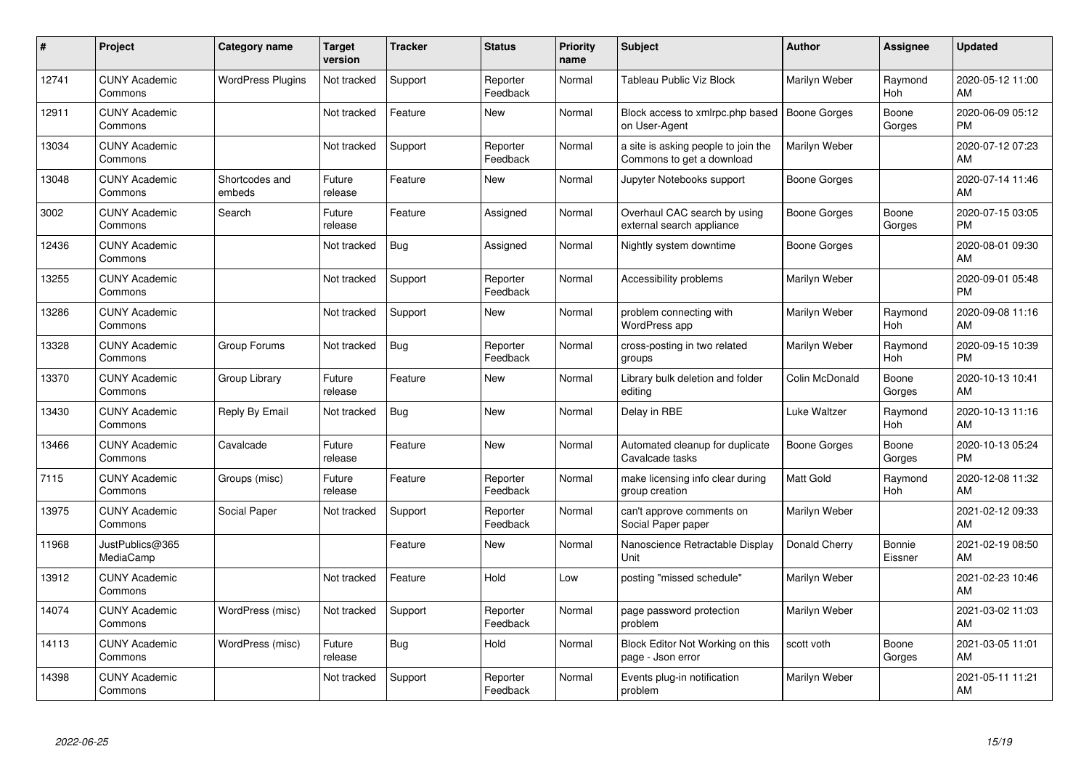| #     | Project                         | <b>Category name</b>     | Target<br>version | <b>Tracker</b> | <b>Status</b>        | <b>Priority</b><br>name | <b>Subject</b>                                                   | <b>Author</b>       | <b>Assignee</b>       | <b>Updated</b>                |
|-------|---------------------------------|--------------------------|-------------------|----------------|----------------------|-------------------------|------------------------------------------------------------------|---------------------|-----------------------|-------------------------------|
| 12741 | <b>CUNY Academic</b><br>Commons | <b>WordPress Plugins</b> | Not tracked       | Support        | Reporter<br>Feedback | Normal                  | Tableau Public Viz Block                                         | Marilyn Weber       | Raymond<br>Hoh        | 2020-05-12 11:00<br>AM        |
| 12911 | <b>CUNY Academic</b><br>Commons |                          | Not tracked       | Feature        | <b>New</b>           | Normal                  | Block access to xmlrpc.php based<br>on User-Agent                | <b>Boone Gorges</b> | Boone<br>Gorges       | 2020-06-09 05:12<br><b>PM</b> |
| 13034 | <b>CUNY Academic</b><br>Commons |                          | Not tracked       | Support        | Reporter<br>Feedback | Normal                  | a site is asking people to join the<br>Commons to get a download | Marilyn Weber       |                       | 2020-07-12 07:23<br>AM        |
| 13048 | <b>CUNY Academic</b><br>Commons | Shortcodes and<br>embeds | Future<br>release | Feature        | <b>New</b>           | Normal                  | Jupyter Notebooks support                                        | Boone Gorges        |                       | 2020-07-14 11:46<br>AM        |
| 3002  | <b>CUNY Academic</b><br>Commons | Search                   | Future<br>release | Feature        | Assigned             | Normal                  | Overhaul CAC search by using<br>external search appliance        | Boone Gorges        | Boone<br>Gorges       | 2020-07-15 03:05<br><b>PM</b> |
| 12436 | <b>CUNY Academic</b><br>Commons |                          | Not tracked       | Bug            | Assigned             | Normal                  | Nightly system downtime                                          | Boone Gorges        |                       | 2020-08-01 09:30<br>AM        |
| 13255 | <b>CUNY Academic</b><br>Commons |                          | Not tracked       | Support        | Reporter<br>Feedback | Normal                  | Accessibility problems                                           | Marilyn Weber       |                       | 2020-09-01 05:48<br><b>PM</b> |
| 13286 | <b>CUNY Academic</b><br>Commons |                          | Not tracked       | Support        | <b>New</b>           | Normal                  | problem connecting with<br><b>WordPress app</b>                  | Marilyn Weber       | Raymond<br>Hoh        | 2020-09-08 11:16<br>AM        |
| 13328 | <b>CUNY Academic</b><br>Commons | Group Forums             | Not tracked       | Bug            | Reporter<br>Feedback | Normal                  | cross-posting in two related<br>groups                           | Marilyn Weber       | Raymond<br><b>Hoh</b> | 2020-09-15 10:39<br><b>PM</b> |
| 13370 | <b>CUNY Academic</b><br>Commons | Group Library            | Future<br>release | Feature        | New                  | Normal                  | Library bulk deletion and folder<br>editing                      | Colin McDonald      | Boone<br>Gorges       | 2020-10-13 10:41<br>AM        |
| 13430 | <b>CUNY Academic</b><br>Commons | Reply By Email           | Not tracked       | <b>Bug</b>     | New                  | Normal                  | Delay in RBE                                                     | Luke Waltzer        | Raymond<br>Hoh        | 2020-10-13 11:16<br>AM        |
| 13466 | <b>CUNY Academic</b><br>Commons | Cavalcade                | Future<br>release | Feature        | <b>New</b>           | Normal                  | Automated cleanup for duplicate<br>Cavalcade tasks               | Boone Gorges        | Boone<br>Gorges       | 2020-10-13 05:24<br><b>PM</b> |
| 7115  | <b>CUNY Academic</b><br>Commons | Groups (misc)            | Future<br>release | Feature        | Reporter<br>Feedback | Normal                  | make licensing info clear during<br>group creation               | Matt Gold           | Raymond<br>Hoh        | 2020-12-08 11:32<br>AM        |
| 13975 | <b>CUNY Academic</b><br>Commons | Social Paper             | Not tracked       | Support        | Reporter<br>Feedback | Normal                  | can't approve comments on<br>Social Paper paper                  | Marilyn Weber       |                       | 2021-02-12 09:33<br>AM        |
| 11968 | JustPublics@365<br>MediaCamp    |                          |                   | Feature        | <b>New</b>           | Normal                  | Nanoscience Retractable Display<br><b>Unit</b>                   | Donald Cherry       | Bonnie<br>Eissner     | 2021-02-19 08:50<br>AM        |
| 13912 | <b>CUNY Academic</b><br>Commons |                          | Not tracked       | Feature        | Hold                 | Low                     | posting "missed schedule"                                        | Marilyn Weber       |                       | 2021-02-23 10:46<br>AM        |
| 14074 | <b>CUNY Academic</b><br>Commons | WordPress (misc)         | Not tracked       | Support        | Reporter<br>Feedback | Normal                  | page password protection<br>problem                              | Marilyn Weber       |                       | 2021-03-02 11:03<br>AM        |
| 14113 | <b>CUNY Academic</b><br>Commons | WordPress (misc)         | Future<br>release | Bug            | Hold                 | Normal                  | Block Editor Not Working on this<br>page - Json error            | scott voth          | Boone<br>Gorges       | 2021-03-05 11:01<br>AM        |
| 14398 | <b>CUNY Academic</b><br>Commons |                          | Not tracked       | Support        | Reporter<br>Feedback | Normal                  | Events plug-in notification<br>problem                           | Marilyn Weber       |                       | 2021-05-11 11:21<br>AM        |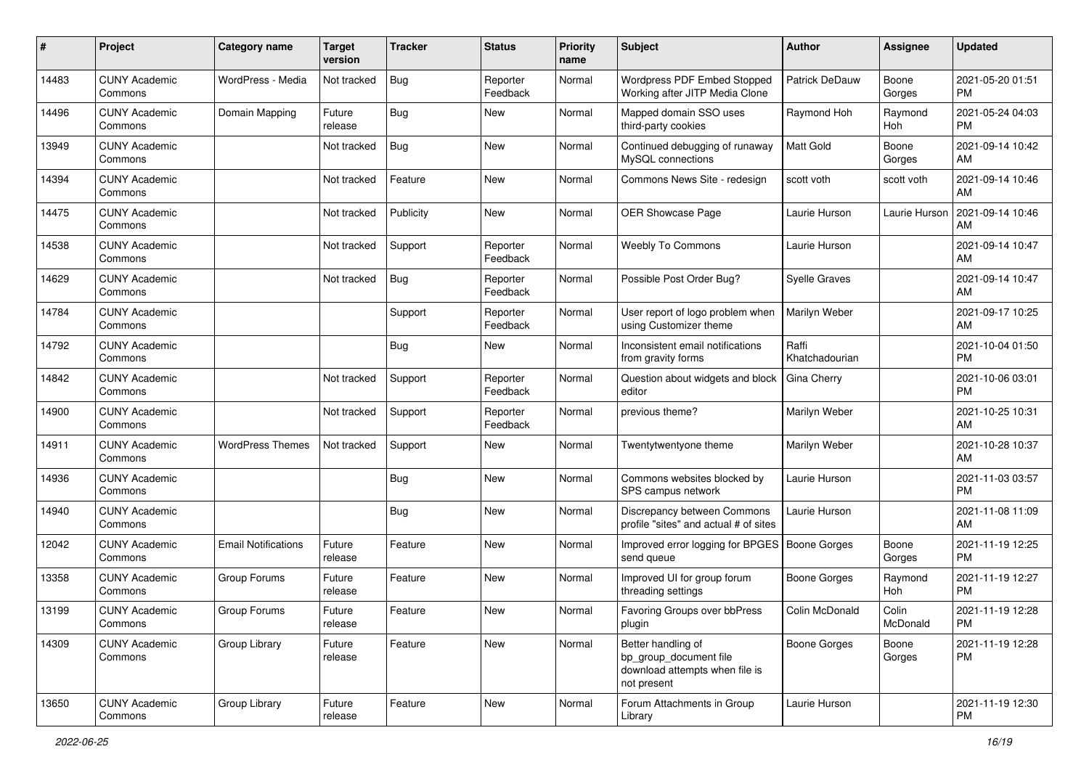| #     | Project                         | <b>Category name</b>       | <b>Target</b><br>version | <b>Tracker</b> | <b>Status</b>        | <b>Priority</b><br>name | Subject                                                                                       | Author                  | <b>Assignee</b>   | <b>Updated</b>                |
|-------|---------------------------------|----------------------------|--------------------------|----------------|----------------------|-------------------------|-----------------------------------------------------------------------------------------------|-------------------------|-------------------|-------------------------------|
| 14483 | <b>CUNY Academic</b><br>Commons | WordPress - Media          | Not tracked              | <b>Bug</b>     | Reporter<br>Feedback | Normal                  | Wordpress PDF Embed Stopped<br>Working after JITP Media Clone                                 | <b>Patrick DeDauw</b>   | Boone<br>Gorges   | 2021-05-20 01:51<br><b>PM</b> |
| 14496 | <b>CUNY Academic</b><br>Commons | Domain Mapping             | Future<br>release        | Bug            | New                  | Normal                  | Mapped domain SSO uses<br>third-party cookies                                                 | Raymond Hoh             | Raymond<br>Hoh    | 2021-05-24 04:03<br><b>PM</b> |
| 13949 | <b>CUNY Academic</b><br>Commons |                            | Not tracked              | <b>Bug</b>     | New                  | Normal                  | Continued debugging of runaway<br>MySQL connections                                           | <b>Matt Gold</b>        | Boone<br>Gorges   | 2021-09-14 10:42<br>AM        |
| 14394 | <b>CUNY Academic</b><br>Commons |                            | Not tracked              | Feature        | <b>New</b>           | Normal                  | Commons News Site - redesign                                                                  | scott voth              | scott voth        | 2021-09-14 10:46<br>AM        |
| 14475 | <b>CUNY Academic</b><br>Commons |                            | Not tracked              | Publicity      | <b>New</b>           | Normal                  | OER Showcase Page                                                                             | Laurie Hurson           | Laurie Hurson     | 2021-09-14 10:46<br>AM        |
| 14538 | <b>CUNY Academic</b><br>Commons |                            | Not tracked              | Support        | Reporter<br>Feedback | Normal                  | Weebly To Commons                                                                             | Laurie Hurson           |                   | 2021-09-14 10:47<br>AM        |
| 14629 | <b>CUNY Academic</b><br>Commons |                            | Not tracked              | Bug            | Reporter<br>Feedback | Normal                  | Possible Post Order Bug?                                                                      | <b>Syelle Graves</b>    |                   | 2021-09-14 10:47<br>AM        |
| 14784 | <b>CUNY Academic</b><br>Commons |                            |                          | Support        | Reporter<br>Feedback | Normal                  | User report of logo problem when<br>using Customizer theme                                    | Marilyn Weber           |                   | 2021-09-17 10:25<br>AM        |
| 14792 | <b>CUNY Academic</b><br>Commons |                            |                          | <b>Bug</b>     | New                  | Normal                  | Inconsistent email notifications<br>from gravity forms                                        | Raffi<br>Khatchadourian |                   | 2021-10-04 01:50<br><b>PM</b> |
| 14842 | <b>CUNY Academic</b><br>Commons |                            | Not tracked              | Support        | Reporter<br>Feedback | Normal                  | Question about widgets and block<br>editor                                                    | Gina Cherry             |                   | 2021-10-06 03:01<br><b>PM</b> |
| 14900 | <b>CUNY Academic</b><br>Commons |                            | Not tracked              | Support        | Reporter<br>Feedback | Normal                  | previous theme?                                                                               | Marilyn Weber           |                   | 2021-10-25 10:31<br>AM        |
| 14911 | <b>CUNY Academic</b><br>Commons | <b>WordPress Themes</b>    | Not tracked              | Support        | New                  | Normal                  | Twentytwentyone theme                                                                         | Marilyn Weber           |                   | 2021-10-28 10:37<br>AM        |
| 14936 | <b>CUNY Academic</b><br>Commons |                            |                          | <b>Bug</b>     | <b>New</b>           | Normal                  | Commons websites blocked by<br>SPS campus network                                             | Laurie Hurson           |                   | 2021-11-03 03:57<br><b>PM</b> |
| 14940 | <b>CUNY Academic</b><br>Commons |                            |                          | Bug            | New                  | Normal                  | Discrepancy between Commons<br>profile "sites" and actual # of sites                          | Laurie Hurson           |                   | 2021-11-08 11:09<br>AM        |
| 12042 | <b>CUNY Academic</b><br>Commons | <b>Email Notifications</b> | Future<br>release        | Feature        | <b>New</b>           | Normal                  | Improved error logging for BPGES<br>send queue                                                | <b>Boone Gorges</b>     | Boone<br>Gorges   | 2021-11-19 12:25<br><b>PM</b> |
| 13358 | <b>CUNY Academic</b><br>Commons | Group Forums               | Future<br>release        | Feature        | New                  | Normal                  | Improved UI for group forum<br>threading settings                                             | <b>Boone Gorges</b>     | Raymond<br>Hoh    | 2021-11-19 12:27<br><b>PM</b> |
| 13199 | <b>CUNY Academic</b><br>Commons | Group Forums               | Future<br>release        | Feature        | New                  | Normal                  | Favoring Groups over bbPress<br>plugin                                                        | Colin McDonald          | Colin<br>McDonald | 2021-11-19 12:28<br>PM        |
| 14309 | <b>CUNY Academic</b><br>Commons | Group Library              | Future<br>release        | Feature        | New                  | Normal                  | Better handling of<br>bp_group_document file<br>download attempts when file is<br>not present | <b>Boone Gorges</b>     | Boone<br>Gorges   | 2021-11-19 12:28<br><b>PM</b> |
| 13650 | <b>CUNY Academic</b><br>Commons | Group Library              | Future<br>release        | Feature        | New                  | Normal                  | Forum Attachments in Group<br>Library                                                         | Laurie Hurson           |                   | 2021-11-19 12:30<br><b>PM</b> |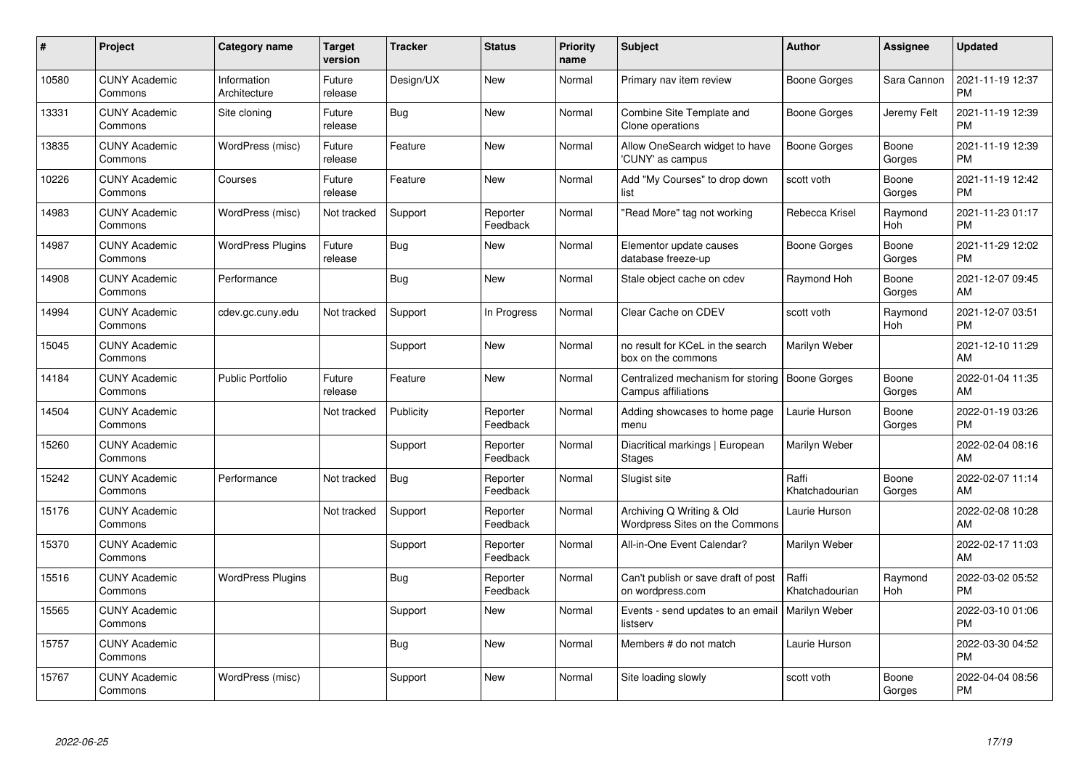| #     | Project                         | <b>Category name</b>        | <b>Target</b><br>version | <b>Tracker</b> | <b>Status</b>        | <b>Priority</b><br>name | <b>Subject</b>                                                | <b>Author</b>           | Assignee        | <b>Updated</b>                |
|-------|---------------------------------|-----------------------------|--------------------------|----------------|----------------------|-------------------------|---------------------------------------------------------------|-------------------------|-----------------|-------------------------------|
| 10580 | <b>CUNY Academic</b><br>Commons | Information<br>Architecture | Future<br>release        | Design/UX      | <b>New</b>           | Normal                  | Primary nav item review                                       | Boone Gorges            | Sara Cannon     | 2021-11-19 12:37<br><b>PM</b> |
| 13331 | <b>CUNY Academic</b><br>Commons | Site cloning                | Future<br>release        | Bug            | <b>New</b>           | Normal                  | Combine Site Template and<br>Clone operations                 | Boone Gorges            | Jeremy Felt     | 2021-11-19 12:39<br><b>PM</b> |
| 13835 | <b>CUNY Academic</b><br>Commons | WordPress (misc)            | Future<br>release        | Feature        | <b>New</b>           | Normal                  | Allow OneSearch widget to have<br>'CUNY' as campus            | <b>Boone Gorges</b>     | Boone<br>Gorges | 2021-11-19 12:39<br><b>PM</b> |
| 10226 | <b>CUNY Academic</b><br>Commons | Courses                     | Future<br>release        | Feature        | <b>New</b>           | Normal                  | Add "My Courses" to drop down<br>list                         | scott voth              | Boone<br>Gorges | 2021-11-19 12:42<br><b>PM</b> |
| 14983 | <b>CUNY Academic</b><br>Commons | WordPress (misc)            | Not tracked              | Support        | Reporter<br>Feedback | Normal                  | 'Read More" tag not working                                   | Rebecca Krisel          | Raymond<br>Hoh  | 2021-11-23 01:17<br><b>PM</b> |
| 14987 | <b>CUNY Academic</b><br>Commons | <b>WordPress Plugins</b>    | Future<br>release        | <b>Bug</b>     | New                  | Normal                  | Elementor update causes<br>database freeze-up                 | Boone Gorges            | Boone<br>Gorges | 2021-11-29 12:02<br><b>PM</b> |
| 14908 | <b>CUNY Academic</b><br>Commons | Performance                 |                          | Bug            | <b>New</b>           | Normal                  | Stale object cache on cdev                                    | Raymond Hoh             | Boone<br>Gorges | 2021-12-07 09:45<br>AM        |
| 14994 | <b>CUNY Academic</b><br>Commons | cdev.gc.cuny.edu            | Not tracked              | Support        | In Progress          | Normal                  | Clear Cache on CDEV                                           | scott voth              | Raymond<br>Hoh  | 2021-12-07 03:51<br><b>PM</b> |
| 15045 | <b>CUNY Academic</b><br>Commons |                             |                          | Support        | <b>New</b>           | Normal                  | no result for KCeL in the search<br>box on the commons        | Marilyn Weber           |                 | 2021-12-10 11:29<br>AM        |
| 14184 | <b>CUNY Academic</b><br>Commons | <b>Public Portfolio</b>     | Future<br>release        | Feature        | <b>New</b>           | Normal                  | Centralized mechanism for storing<br>Campus affiliations      | Boone Gorges            | Boone<br>Gorges | 2022-01-04 11:35<br>AM        |
| 14504 | <b>CUNY Academic</b><br>Commons |                             | Not tracked              | Publicity      | Reporter<br>Feedback | Normal                  | Adding showcases to home page<br>menu                         | Laurie Hurson           | Boone<br>Gorges | 2022-01-19 03:26<br><b>PM</b> |
| 15260 | <b>CUNY Academic</b><br>Commons |                             |                          | Support        | Reporter<br>Feedback | Normal                  | Diacritical markings   European<br><b>Stages</b>              | Marilyn Weber           |                 | 2022-02-04 08:16<br>AM        |
| 15242 | <b>CUNY Academic</b><br>Commons | Performance                 | Not tracked              | Bug            | Reporter<br>Feedback | Normal                  | Slugist site                                                  | Raffi<br>Khatchadourian | Boone<br>Gorges | 2022-02-07 11:14<br>AM        |
| 15176 | <b>CUNY Academic</b><br>Commons |                             | Not tracked              | Support        | Reporter<br>Feedback | Normal                  | Archiving Q Writing & Old<br>Wordpress Sites on the Commons   | Laurie Hurson           |                 | 2022-02-08 10:28<br>AM        |
| 15370 | <b>CUNY Academic</b><br>Commons |                             |                          | Support        | Reporter<br>Feedback | Normal                  | All-in-One Event Calendar?                                    | Marilyn Weber           |                 | 2022-02-17 11:03<br>AM        |
| 15516 | <b>CUNY Academic</b><br>Commons | <b>WordPress Plugins</b>    |                          | <b>Bug</b>     | Reporter<br>Feedback | Normal                  | Can't publish or save draft of post<br>on wordpress.com       | Raffi<br>Khatchadourian | Raymond<br>Hoh  | 2022-03-02 05:52<br><b>PM</b> |
| 15565 | <b>CUNY Academic</b><br>Commons |                             |                          | Support        | New                  | Normal                  | Events - send updates to an email   Marilyn Weber<br>listserv |                         |                 | 2022-03-10 01:06<br><b>PM</b> |
| 15757 | <b>CUNY Academic</b><br>Commons |                             |                          | Bug            | New                  | Normal                  | Members # do not match                                        | Laurie Hurson           |                 | 2022-03-30 04:52<br><b>PM</b> |
| 15767 | <b>CUNY Academic</b><br>Commons | WordPress (misc)            |                          | Support        | <b>New</b>           | Normal                  | Site loading slowly                                           | scott voth              | Boone<br>Gorges | 2022-04-04 08:56<br><b>PM</b> |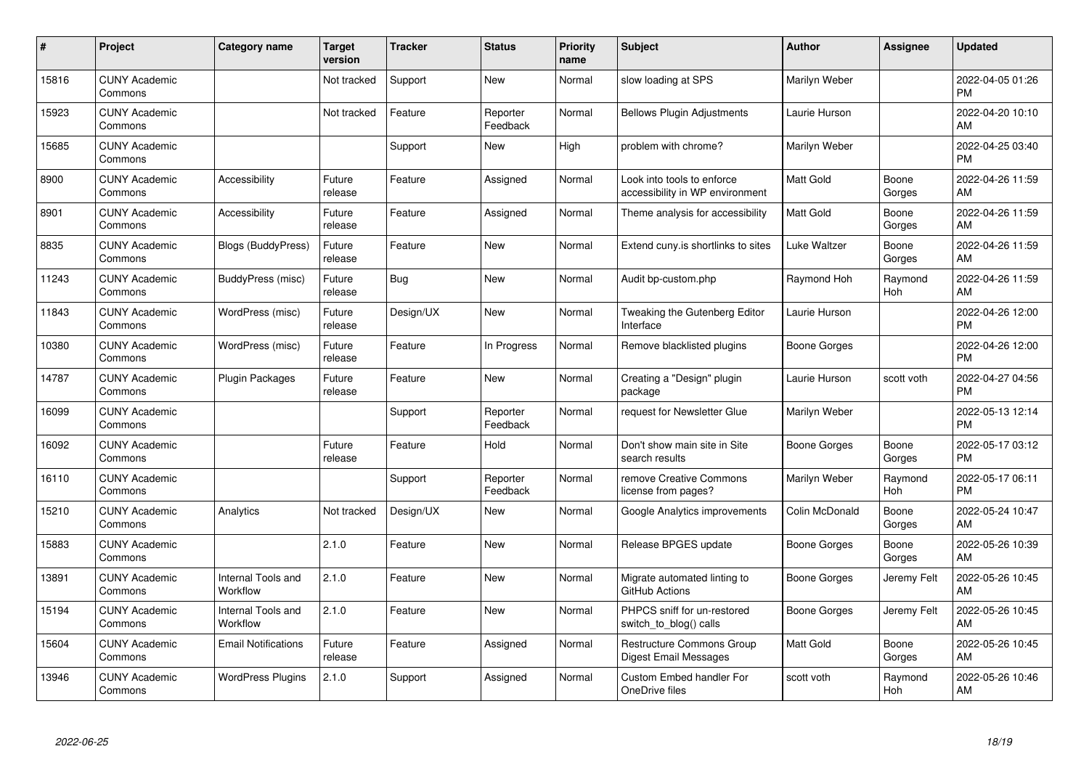| #     | Project                         | <b>Category name</b>           | <b>Target</b><br>version | <b>Tracker</b> | <b>Status</b>        | <b>Priority</b><br>name | <b>Subject</b>                                                | <b>Author</b>    | <b>Assignee</b>       | <b>Updated</b>                |
|-------|---------------------------------|--------------------------------|--------------------------|----------------|----------------------|-------------------------|---------------------------------------------------------------|------------------|-----------------------|-------------------------------|
| 15816 | <b>CUNY Academic</b><br>Commons |                                | Not tracked              | Support        | <b>New</b>           | Normal                  | slow loading at SPS                                           | Marilyn Weber    |                       | 2022-04-05 01:26<br><b>PM</b> |
| 15923 | <b>CUNY Academic</b><br>Commons |                                | Not tracked              | Feature        | Reporter<br>Feedback | Normal                  | <b>Bellows Plugin Adjustments</b>                             | Laurie Hurson    |                       | 2022-04-20 10:10<br>AM        |
| 15685 | <b>CUNY Academic</b><br>Commons |                                |                          | Support        | New                  | High                    | problem with chrome?                                          | Marilyn Weber    |                       | 2022-04-25 03:40<br><b>PM</b> |
| 8900  | <b>CUNY Academic</b><br>Commons | Accessibility                  | Future<br>release        | Feature        | Assigned             | Normal                  | Look into tools to enforce<br>accessibility in WP environment | Matt Gold        | Boone<br>Gorges       | 2022-04-26 11:59<br>AM        |
| 8901  | <b>CUNY Academic</b><br>Commons | Accessibility                  | Future<br>release        | Feature        | Assigned             | Normal                  | Theme analysis for accessibility                              | <b>Matt Gold</b> | Boone<br>Gorges       | 2022-04-26 11:59<br>AM        |
| 8835  | <b>CUNY Academic</b><br>Commons | Blogs (BuddyPress)             | Future<br>release        | Feature        | New                  | Normal                  | Extend cuny is shortlinks to sites                            | Luke Waltzer     | Boone<br>Gorges       | 2022-04-26 11:59<br>AM        |
| 11243 | <b>CUNY Academic</b><br>Commons | BuddyPress (misc)              | Future<br>release        | Bug            | <b>New</b>           | Normal                  | Audit bp-custom.php                                           | Raymond Hoh      | Raymond<br><b>Hoh</b> | 2022-04-26 11:59<br>AM        |
| 11843 | <b>CUNY Academic</b><br>Commons | WordPress (misc)               | Future<br>release        | Design/UX      | <b>New</b>           | Normal                  | Tweaking the Gutenberg Editor<br>Interface                    | Laurie Hurson    |                       | 2022-04-26 12:00<br><b>PM</b> |
| 10380 | <b>CUNY Academic</b><br>Commons | WordPress (misc)               | Future<br>release        | Feature        | In Progress          | Normal                  | Remove blacklisted plugins                                    | Boone Gorges     |                       | 2022-04-26 12:00<br><b>PM</b> |
| 14787 | <b>CUNY Academic</b><br>Commons | <b>Plugin Packages</b>         | Future<br>release        | Feature        | <b>New</b>           | Normal                  | Creating a "Design" plugin<br>package                         | Laurie Hurson    | scott voth            | 2022-04-27 04:56<br><b>PM</b> |
| 16099 | <b>CUNY Academic</b><br>Commons |                                |                          | Support        | Reporter<br>Feedback | Normal                  | request for Newsletter Glue                                   | Marilyn Weber    |                       | 2022-05-13 12:14<br><b>PM</b> |
| 16092 | <b>CUNY Academic</b><br>Commons |                                | Future<br>release        | Feature        | Hold                 | Normal                  | Don't show main site in Site<br>search results                | Boone Gorges     | Boone<br>Gorges       | 2022-05-17 03:12<br><b>PM</b> |
| 16110 | <b>CUNY Academic</b><br>Commons |                                |                          | Support        | Reporter<br>Feedback | Normal                  | remove Creative Commons<br>license from pages?                | Marilyn Weber    | Raymond<br>Hoh        | 2022-05-17 06:11<br><b>PM</b> |
| 15210 | <b>CUNY Academic</b><br>Commons | Analytics                      | Not tracked              | Design/UX      | <b>New</b>           | Normal                  | Google Analytics improvements                                 | Colin McDonald   | Boone<br>Gorges       | 2022-05-24 10:47<br>AM        |
| 15883 | <b>CUNY Academic</b><br>Commons |                                | 2.1.0                    | Feature        | <b>New</b>           | Normal                  | Release BPGES update                                          | Boone Gorges     | Boone<br>Gorges       | 2022-05-26 10:39<br>AM        |
| 13891 | <b>CUNY Academic</b><br>Commons | Internal Tools and<br>Workflow | 2.1.0                    | Feature        | <b>New</b>           | Normal                  | Migrate automated linting to<br>GitHub Actions                | Boone Gorges     | Jeremy Felt           | 2022-05-26 10:45<br>AM        |
| 15194 | <b>CUNY Academic</b><br>Commons | Internal Tools and<br>Workflow | 2.1.0                    | Feature        | <b>New</b>           | Normal                  | PHPCS sniff for un-restored<br>switch to blog() calls         | Boone Gorges     | Jeremy Felt           | 2022-05-26 10:45<br>AM        |
| 15604 | <b>CUNY Academic</b><br>Commons | <b>Email Notifications</b>     | Future<br>release        | Feature        | Assigned             | Normal                  | <b>Restructure Commons Group</b><br>Digest Email Messages     | <b>Matt Gold</b> | Boone<br>Gorges       | 2022-05-26 10:45<br>AM        |
| 13946 | <b>CUNY Academic</b><br>Commons | <b>WordPress Plugins</b>       | 2.1.0                    | Support        | Assigned             | Normal                  | Custom Embed handler For<br>OneDrive files                    | scott voth       | Raymond<br>Hoh        | 2022-05-26 10:46<br>AM        |